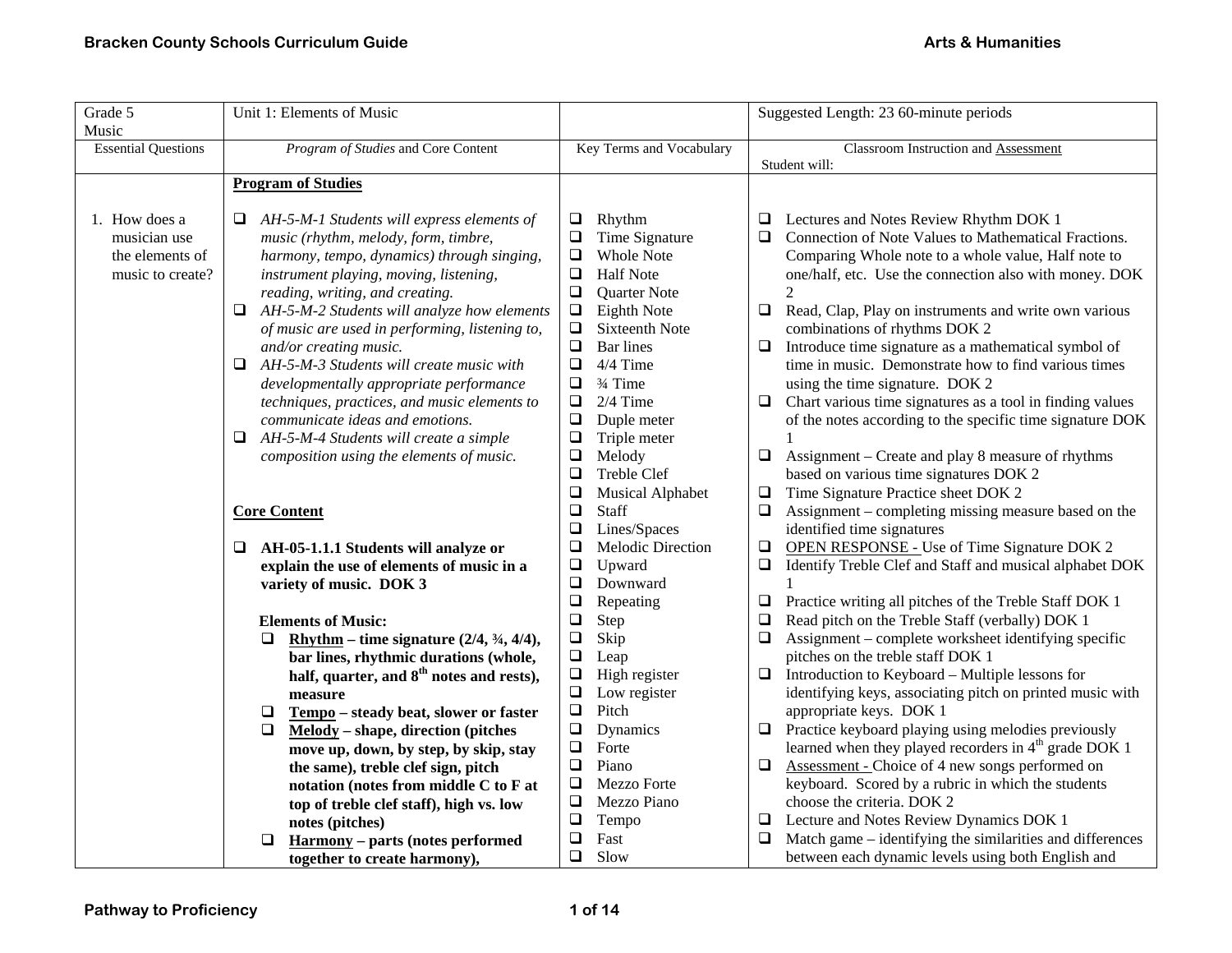| Grade 5                    | Unit 1: Elements of Music                                                               |                                        | Suggested Length: 23 60-minute periods                                                             |  |
|----------------------------|-----------------------------------------------------------------------------------------|----------------------------------------|----------------------------------------------------------------------------------------------------|--|
| Music                      |                                                                                         |                                        |                                                                                                    |  |
| <b>Essential Questions</b> | Program of Studies and Core Content                                                     | Key Terms and Vocabulary               | <b>Classroom Instruction and Assessment</b>                                                        |  |
|                            |                                                                                         |                                        | Student will:                                                                                      |  |
|                            | <b>Program of Studies</b>                                                               |                                        |                                                                                                    |  |
| 1. How does a              | AH-5-M-1 Students will express elements of                                              | Rhythm<br>⊔                            | Lectures and Notes Review Rhythm DOK 1                                                             |  |
| musician use               | music (rhythm, melody, form, timbre,                                                    | $\Box$<br>Time Signature               | Connection of Note Values to Mathematical Fractions.<br>❏                                          |  |
| the elements of            | harmony, tempo, dynamics) through singing,                                              | <b>Whole Note</b><br>$\Box$            | Comparing Whole note to a whole value, Half note to                                                |  |
| music to create?           | instrument playing, moving, listening,                                                  | $\Box$<br><b>Half Note</b>             | one/half, etc. Use the connection also with money. DOK                                             |  |
|                            | reading, writing, and creating.                                                         | $\Box$<br>Quarter Note                 | $\mathfrak{D}$                                                                                     |  |
|                            | $\Box$ AH-5-M-2 Students will analyze how elements                                      | $\Box$<br>Eighth Note                  | Read, Clap, Play on instruments and write own various<br>❏                                         |  |
|                            | of music are used in performing, listening to,                                          | $\Box$<br>Sixteenth Note               | combinations of rhythms DOK 2                                                                      |  |
|                            | and/or creating music.                                                                  | $\Box$<br><b>Bar</b> lines<br>4/4 Time | Introduce time signature as a mathematical symbol of<br>❏                                          |  |
|                            | AH-5-M-3 Students will create music with<br>Q.                                          | $\Box$<br>$\Box$<br>3⁄4 Time           | time in music. Demonstrate how to find various times                                               |  |
|                            | developmentally appropriate performance<br>techniques, practices, and music elements to | $\Box$<br>$2/4$ Time                   | using the time signature. DOK 2<br>Chart various time signatures as a tool in finding values<br>Q. |  |
|                            | communicate ideas and emotions.                                                         | $\Box$<br>Duple meter                  | of the notes according to the specific time signature DOK                                          |  |
|                            | AH-5-M-4 Students will create a simple<br>⊔                                             | $\Box$<br>Triple meter                 |                                                                                                    |  |
|                            | composition using the elements of music.                                                | $\Box$<br>Melody                       | Assignment – Create and play 8 measure of rhythms<br>⊔                                             |  |
|                            |                                                                                         | $\Box$<br>Treble Clef                  | based on various time signatures DOK 2                                                             |  |
|                            |                                                                                         | $\Box$<br><b>Musical Alphabet</b>      | Time Signature Practice sheet DOK 2<br>$\Box$                                                      |  |
|                            | <b>Core Content</b>                                                                     | $\Box$<br><b>Staff</b>                 | Assignment – completing missing measure based on the                                               |  |
|                            |                                                                                         | $\Box$<br>Lines/Spaces                 | identified time signatures                                                                         |  |
|                            | AH-05-1.1.1 Students will analyze or<br>Q.                                              | $\Box$<br>Melodic Direction            | <b>OPEN RESPONSE - Use of Time Signature DOK 2</b><br>$\Box$                                       |  |
|                            | explain the use of elements of music in a                                               | $\Box$<br>Upward                       | ❏<br>Identify Treble Clef and Staff and musical alphabet DOK                                       |  |
|                            | variety of music. DOK 3                                                                 | $\Box$<br>Downward                     |                                                                                                    |  |
|                            |                                                                                         | $\Box$<br>Repeating                    | Practice writing all pitches of the Treble Staff DOK 1<br>❏                                        |  |
|                            | <b>Elements of Music:</b>                                                               | $\Box$<br>Step                         | Read pitch on the Treble Staff (verbally) DOK 1<br>❏                                               |  |
|                            | Rhythm – time signature $(2/4, \frac{3}{4}, 4/4)$ ,<br>□                                | $\Box$<br>Skip                         | Assignment - complete worksheet identifying specific<br>❏                                          |  |
|                            | bar lines, rhythmic durations (whole,                                                   | $\Box$<br>Leap                         | pitches on the treble staff DOK 1                                                                  |  |
|                            | half, quarter, and 8 <sup>th</sup> notes and rests),                                    | $\Box$<br>High register                | Introduction to Keyboard – Multiple lessons for                                                    |  |
|                            | measure                                                                                 | $\Box$<br>Low register                 | identifying keys, associating pitch on printed music with                                          |  |
|                            | Tempo - steady beat, slower or faster<br>□                                              | $\Box$<br>Pitch                        | appropriate keys. DOK 1                                                                            |  |
|                            | $\Box$<br>Melody – shape, direction (pitches                                            | $\Box$<br>Dynamics                     | Practice keyboard playing using melodies previously<br>❏                                           |  |
|                            | move up, down, by step, by skip, stay                                                   | $\Box$<br>Forte                        | learned when they played recorders in 4 <sup>th</sup> grade DOK 1                                  |  |
|                            | the same), treble clef sign, pitch                                                      | $\Box$<br>Piano                        | Assessment - Choice of 4 new songs performed on<br>❏                                               |  |
|                            | notation (notes from middle C to F at                                                   | $\Box$<br>Mezzo Forte                  | keyboard. Scored by a rubric in which the students                                                 |  |
|                            | top of treble clef staff), high vs. low                                                 | $\Box$<br>Mezzo Piano                  | choose the criteria. DOK 2                                                                         |  |
|                            | notes (pitches)                                                                         | $\Box$<br>Tempo                        | Lecture and Notes Review Dynamics DOK 1<br>⊔                                                       |  |
|                            | <b>Harmony</b> - parts (notes performed<br>□                                            | $\Box$<br>Fast                         | Match game – identifying the similarities and differences                                          |  |
|                            | together to create harmony),                                                            | $\Box$<br>Slow                         | between each dynamic levels using both English and                                                 |  |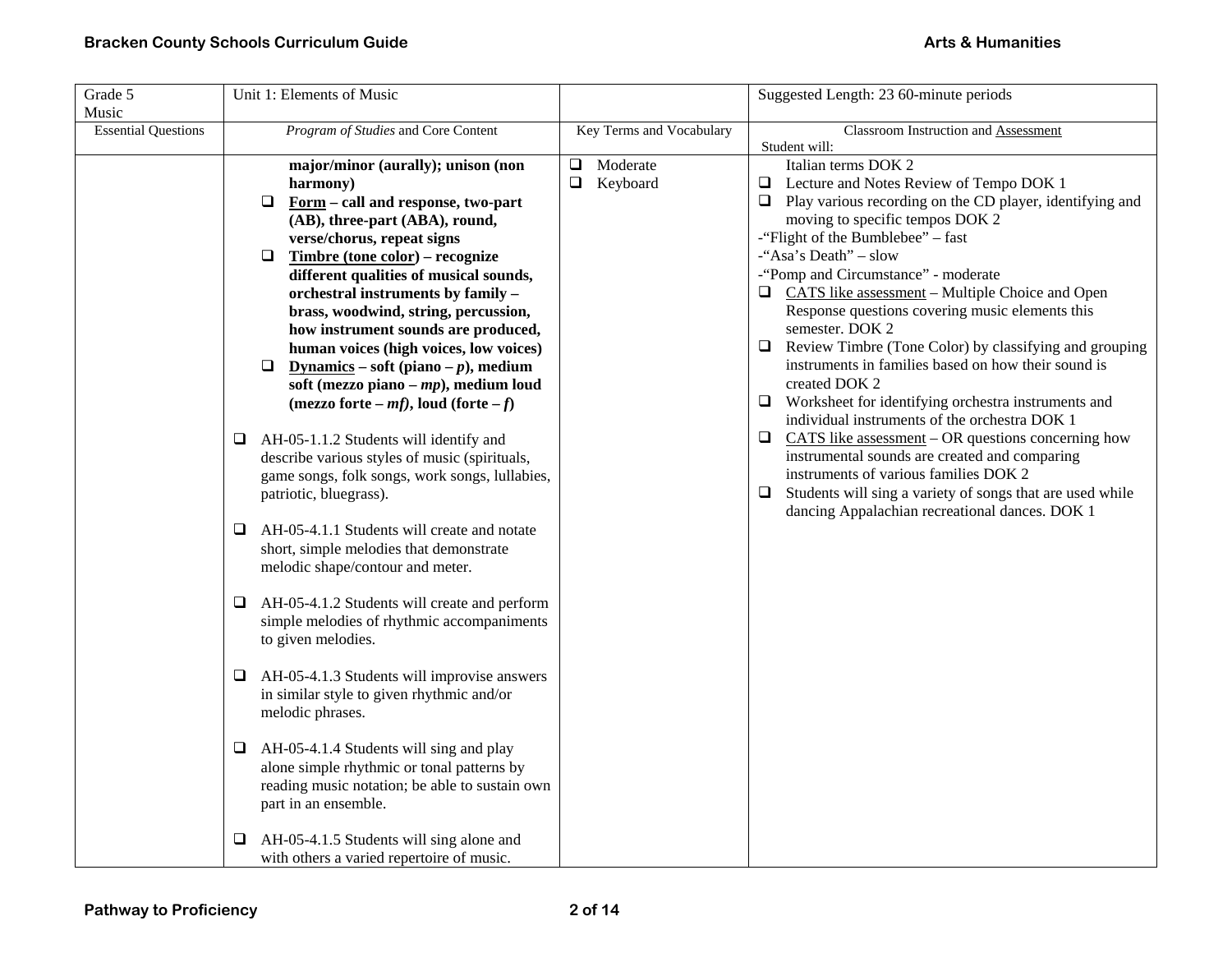| Grade 5                    | Unit 1: Elements of Music                                            |                          | Suggested Length: 23 60-minute periods                         |
|----------------------------|----------------------------------------------------------------------|--------------------------|----------------------------------------------------------------|
| Music                      |                                                                      |                          |                                                                |
| <b>Essential Questions</b> | Program of Studies and Core Content                                  | Key Terms and Vocabulary | <b>Classroom Instruction and Assessment</b>                    |
|                            |                                                                      | Moderate                 | Student will:<br>Italian terms DOK 2                           |
|                            | major/minor (aurally); unison (non                                   | □<br>$\Box$<br>Keyboard  | $\Box$ Lecture and Notes Review of Tempo DOK 1                 |
|                            | harmony)<br>$\Box$                                                   |                          | Play various recording on the CD player, identifying and       |
|                            | Form - call and response, two-part<br>(AB), three-part (ABA), round, |                          | moving to specific tempos DOK 2                                |
|                            | verse/chorus, repeat signs                                           |                          | -"Flight of the Bumblebee" – fast                              |
|                            | $\Box$<br>Timbre (tone color) – recognize                            |                          | -"Asa's Death" - slow                                          |
|                            | different qualities of musical sounds,                               |                          | -"Pomp and Circumstance" - moderate                            |
|                            | orchestral instruments by family -                                   |                          | $\Box$ CATS like assessment – Multiple Choice and Open         |
|                            | brass, woodwind, string, percussion,                                 |                          | Response questions covering music elements this                |
|                            | how instrument sounds are produced,                                  |                          | semester. DOK 2                                                |
|                            | human voices (high voices, low voices)                               |                          | Review Timbre (Tone Color) by classifying and grouping<br>□    |
|                            | Dynamics – soft (piano – $p$ ), medium<br>□                          |                          | instruments in families based on how their sound is            |
|                            | soft (mezzo piano – $mp$ ), medium loud                              |                          | created DOK 2                                                  |
|                            | (mezzo forte – mf), loud (forte – f)                                 |                          | $\Box$ Worksheet for identifying orchestra instruments and     |
|                            |                                                                      |                          | individual instruments of the orchestra DOK 1                  |
|                            | AH-05-1.1.2 Students will identify and<br>⊔                          |                          | CATS like assessment $-$ OR questions concerning how<br>Q.     |
|                            | describe various styles of music (spirituals,                        |                          | instrumental sounds are created and comparing                  |
|                            | game songs, folk songs, work songs, lullabies,                       |                          | instruments of various families DOK 2                          |
|                            | patriotic, bluegrass).                                               |                          | Students will sing a variety of songs that are used while<br>⊔ |
|                            |                                                                      |                          | dancing Appalachian recreational dances. DOK 1                 |
|                            | AH-05-4.1.1 Students will create and notate<br>⊔                     |                          |                                                                |
|                            | short, simple melodies that demonstrate                              |                          |                                                                |
|                            | melodic shape/contour and meter.                                     |                          |                                                                |
|                            | AH-05-4.1.2 Students will create and perform<br>⊔                    |                          |                                                                |
|                            | simple melodies of rhythmic accompaniments                           |                          |                                                                |
|                            | to given melodies.                                                   |                          |                                                                |
|                            |                                                                      |                          |                                                                |
|                            | AH-05-4.1.3 Students will improvise answers<br>⊔                     |                          |                                                                |
|                            | in similar style to given rhythmic and/or                            |                          |                                                                |
|                            | melodic phrases.                                                     |                          |                                                                |
|                            |                                                                      |                          |                                                                |
|                            | AH-05-4.1.4 Students will sing and play<br>⊔                         |                          |                                                                |
|                            | alone simple rhythmic or tonal patterns by                           |                          |                                                                |
|                            | reading music notation; be able to sustain own                       |                          |                                                                |
|                            | part in an ensemble.                                                 |                          |                                                                |
|                            | AH-05-4.1.5 Students will sing alone and<br>⊔                        |                          |                                                                |
|                            | with others a varied repertoire of music.                            |                          |                                                                |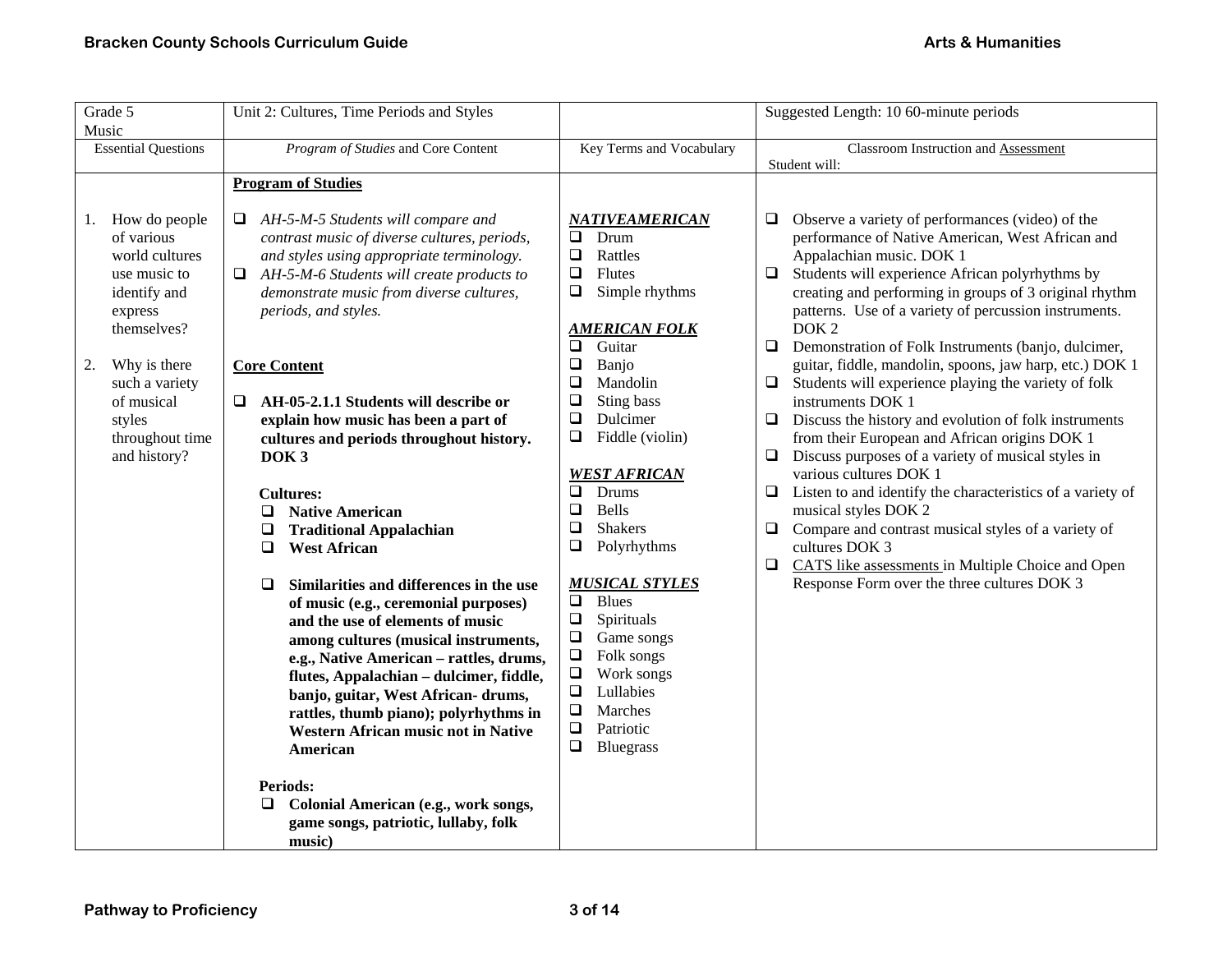| Grade 5                                                                                                                                                                                                                   | Unit 2: Cultures, Time Periods and Styles                                                                                                                                                                                                                                                                                                                                                                                                                                                                                                                                                                                                                                                                                                                                                                                                                                                                                                                                                 |                                                                                                                                                                                                                                                                                                                                                                                                                                                                                                                                                                                                                   | Suggested Length: 10 60-minute periods                                                                                                                                                                                                                                                                                                                                                                                                                                                                                                                                                                                                                                                                                                                                                                                                                                                                                                                                                                                                                                              |
|---------------------------------------------------------------------------------------------------------------------------------------------------------------------------------------------------------------------------|-------------------------------------------------------------------------------------------------------------------------------------------------------------------------------------------------------------------------------------------------------------------------------------------------------------------------------------------------------------------------------------------------------------------------------------------------------------------------------------------------------------------------------------------------------------------------------------------------------------------------------------------------------------------------------------------------------------------------------------------------------------------------------------------------------------------------------------------------------------------------------------------------------------------------------------------------------------------------------------------|-------------------------------------------------------------------------------------------------------------------------------------------------------------------------------------------------------------------------------------------------------------------------------------------------------------------------------------------------------------------------------------------------------------------------------------------------------------------------------------------------------------------------------------------------------------------------------------------------------------------|-------------------------------------------------------------------------------------------------------------------------------------------------------------------------------------------------------------------------------------------------------------------------------------------------------------------------------------------------------------------------------------------------------------------------------------------------------------------------------------------------------------------------------------------------------------------------------------------------------------------------------------------------------------------------------------------------------------------------------------------------------------------------------------------------------------------------------------------------------------------------------------------------------------------------------------------------------------------------------------------------------------------------------------------------------------------------------------|
| <b>Essential Questions</b>                                                                                                                                                                                                | Program of Studies and Core Content                                                                                                                                                                                                                                                                                                                                                                                                                                                                                                                                                                                                                                                                                                                                                                                                                                                                                                                                                       | Key Terms and Vocabulary                                                                                                                                                                                                                                                                                                                                                                                                                                                                                                                                                                                          | Classroom Instruction and Assessment                                                                                                                                                                                                                                                                                                                                                                                                                                                                                                                                                                                                                                                                                                                                                                                                                                                                                                                                                                                                                                                |
| Music<br>How do people<br>1.<br>of various<br>world cultures<br>use music to<br>identify and<br>express<br>themselves?<br>Why is there<br>2.<br>such a variety<br>of musical<br>styles<br>throughout time<br>and history? | <b>Program of Studies</b><br>AH-5-M-5 Students will compare and<br>□<br>contrast music of diverse cultures, periods,<br>and styles using appropriate terminology.<br>$\Box$ AH-5-M-6 Students will create products to<br>demonstrate music from diverse cultures,<br>periods, and styles.<br><b>Core Content</b><br>AH-05-2.1.1 Students will describe or<br>□<br>explain how music has been a part of<br>cultures and periods throughout history.<br>DOK <sub>3</sub><br><b>Cultures:</b><br><b>Native American</b><br>⊔<br><b>Traditional Appalachian</b><br>❏<br>❏<br><b>West African</b><br>Similarities and differences in the use<br>$\Box$<br>of music (e.g., ceremonial purposes)<br>and the use of elements of music<br>among cultures (musical instruments,<br>e.g., Native American - rattles, drums,<br>flutes, Appalachian - dulcimer, fiddle,<br>banjo, guitar, West African- drums,<br>rattles, thumb piano); polyrhythms in<br><b>Western African music not in Native</b> | <b>NATIVEAMERICAN</b><br>$\Box$<br>Drum<br>$\Box$<br>Rattles<br>$\Box$<br>Flutes<br>Simple rhythms<br>$\Box$<br><b>AMERICAN FOLK</b><br>$\Box$<br>Guitar<br>$\Box$<br>Banjo<br>Mandolin<br>$\Box$<br>Sting bass<br>$\Box$<br>$\Box$<br>Dulcimer<br>$\Box$<br>Fiddle (violin)<br><b>WEST AFRICAN</b><br>$\Box$<br>Drums<br>$\Box$<br><b>Bells</b><br><b>Shakers</b><br>❏<br>❏<br>Polyrhythms<br><b>MUSICAL STYLES</b><br>$\Box$<br><b>Blues</b><br>$\Box$<br>Spirituals<br>$\Box$<br>Game songs<br>$\Box$<br>Folk songs<br>$\Box$<br>Work songs<br>$\Box$<br>Lullabies<br>$\Box$<br>Marches<br>$\Box$<br>Patriotic | Student will:<br>Observe a variety of performances (video) of the<br>⊔<br>performance of Native American, West African and<br>Appalachian music. DOK 1<br>Students will experience African polyrhythms by<br>$\Box$<br>creating and performing in groups of 3 original rhythm<br>patterns. Use of a variety of percussion instruments.<br>DOK <sub>2</sub><br>Demonstration of Folk Instruments (banjo, dulcimer,<br>$\Box$<br>guitar, fiddle, mandolin, spoons, jaw harp, etc.) DOK 1<br>Students will experience playing the variety of folk<br>❏.<br>instruments DOK 1<br>Discuss the history and evolution of folk instruments<br>$\Box$<br>from their European and African origins DOK 1<br>Discuss purposes of a variety of musical styles in<br>$\Box$<br>various cultures DOK 1<br>Listen to and identify the characteristics of a variety of<br>❏<br>musical styles DOK 2<br>Compare and contrast musical styles of a variety of<br>$\Box$<br>cultures DOK 3<br>CATS like assessments in Multiple Choice and Open<br>$\Box$<br>Response Form over the three cultures DOK 3 |
|                                                                                                                                                                                                                           | American<br><b>Periods:</b><br>Colonial American (e.g., work songs,<br>⊔<br>game songs, patriotic, lullaby, folk<br>music)                                                                                                                                                                                                                                                                                                                                                                                                                                                                                                                                                                                                                                                                                                                                                                                                                                                                | $\Box$<br><b>Bluegrass</b>                                                                                                                                                                                                                                                                                                                                                                                                                                                                                                                                                                                        |                                                                                                                                                                                                                                                                                                                                                                                                                                                                                                                                                                                                                                                                                                                                                                                                                                                                                                                                                                                                                                                                                     |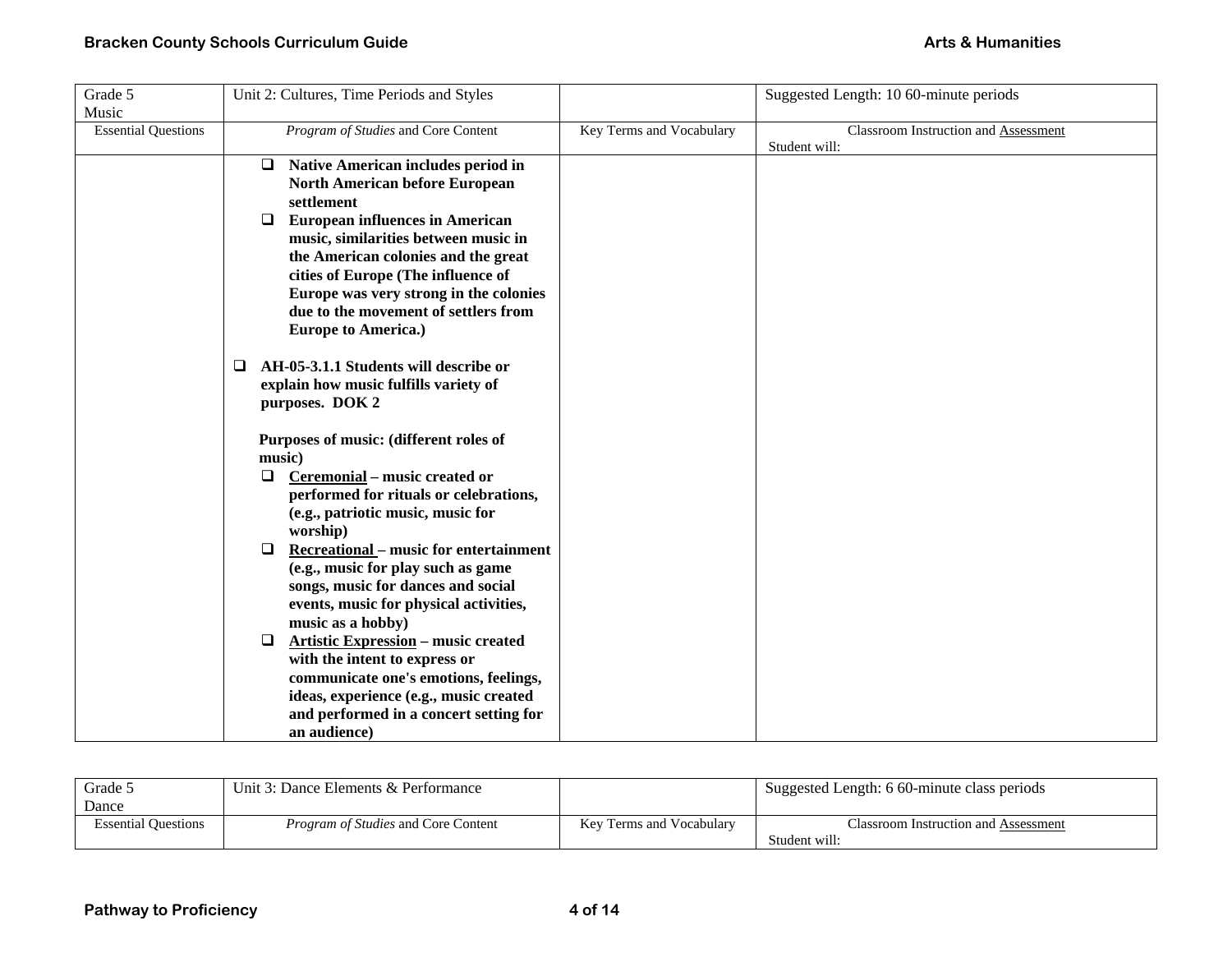| Grade 5                    | Unit 2: Cultures, Time Periods and Styles               |                          | Suggested Length: 10 60-minute periods |
|----------------------------|---------------------------------------------------------|--------------------------|----------------------------------------|
| Music                      |                                                         |                          |                                        |
| <b>Essential Questions</b> | Program of Studies and Core Content                     | Key Terms and Vocabulary | Classroom Instruction and Assessment   |
|                            |                                                         |                          | Student will:                          |
|                            | Native American includes period in<br>❏                 |                          |                                        |
|                            | <b>North American before European</b>                   |                          |                                        |
|                            | settlement                                              |                          |                                        |
|                            | <b>European influences in American</b><br>$\Box$        |                          |                                        |
|                            | music, similarities between music in                    |                          |                                        |
|                            | the American colonies and the great                     |                          |                                        |
|                            | cities of Europe (The influence of                      |                          |                                        |
|                            | Europe was very strong in the colonies                  |                          |                                        |
|                            | due to the movement of settlers from                    |                          |                                        |
|                            | <b>Europe to America.)</b>                              |                          |                                        |
|                            | AH-05-3.1.1 Students will describe or<br>□              |                          |                                        |
|                            | explain how music fulfills variety of                   |                          |                                        |
|                            | purposes. DOK 2                                         |                          |                                        |
|                            |                                                         |                          |                                        |
|                            | Purposes of music: (different roles of                  |                          |                                        |
|                            | music)                                                  |                          |                                        |
|                            | Ceremonial – music created or<br>$\Box$                 |                          |                                        |
|                            | performed for rituals or celebrations,                  |                          |                                        |
|                            | (e.g., patriotic music, music for                       |                          |                                        |
|                            | worship)                                                |                          |                                        |
|                            | <b>Recreational</b> – music for entertainment<br>$\Box$ |                          |                                        |
|                            | (e.g., music for play such as game                      |                          |                                        |
|                            | songs, music for dances and social                      |                          |                                        |
|                            | events, music for physical activities,                  |                          |                                        |
|                            | music as a hobby)                                       |                          |                                        |
|                            | <b>Artistic Expression - music created</b><br>$\Box$    |                          |                                        |
|                            | with the intent to express or                           |                          |                                        |
|                            | communicate one's emotions, feelings,                   |                          |                                        |
|                            | ideas, experience (e.g., music created                  |                          |                                        |
|                            | and performed in a concert setting for                  |                          |                                        |
|                            | an audience)                                            |                          |                                        |

| Grade 5                    | Unit 3: Dance Elements & Performance       |                          | Suggested Length: 6 60-minute class periods |
|----------------------------|--------------------------------------------|--------------------------|---------------------------------------------|
| Dance                      |                                            |                          |                                             |
| <b>Essential Questions</b> | <i>Program of Studies</i> and Core Content | Key Terms and Vocabulary | Classroom Instruction and Assessment        |
|                            |                                            |                          | Student will:                               |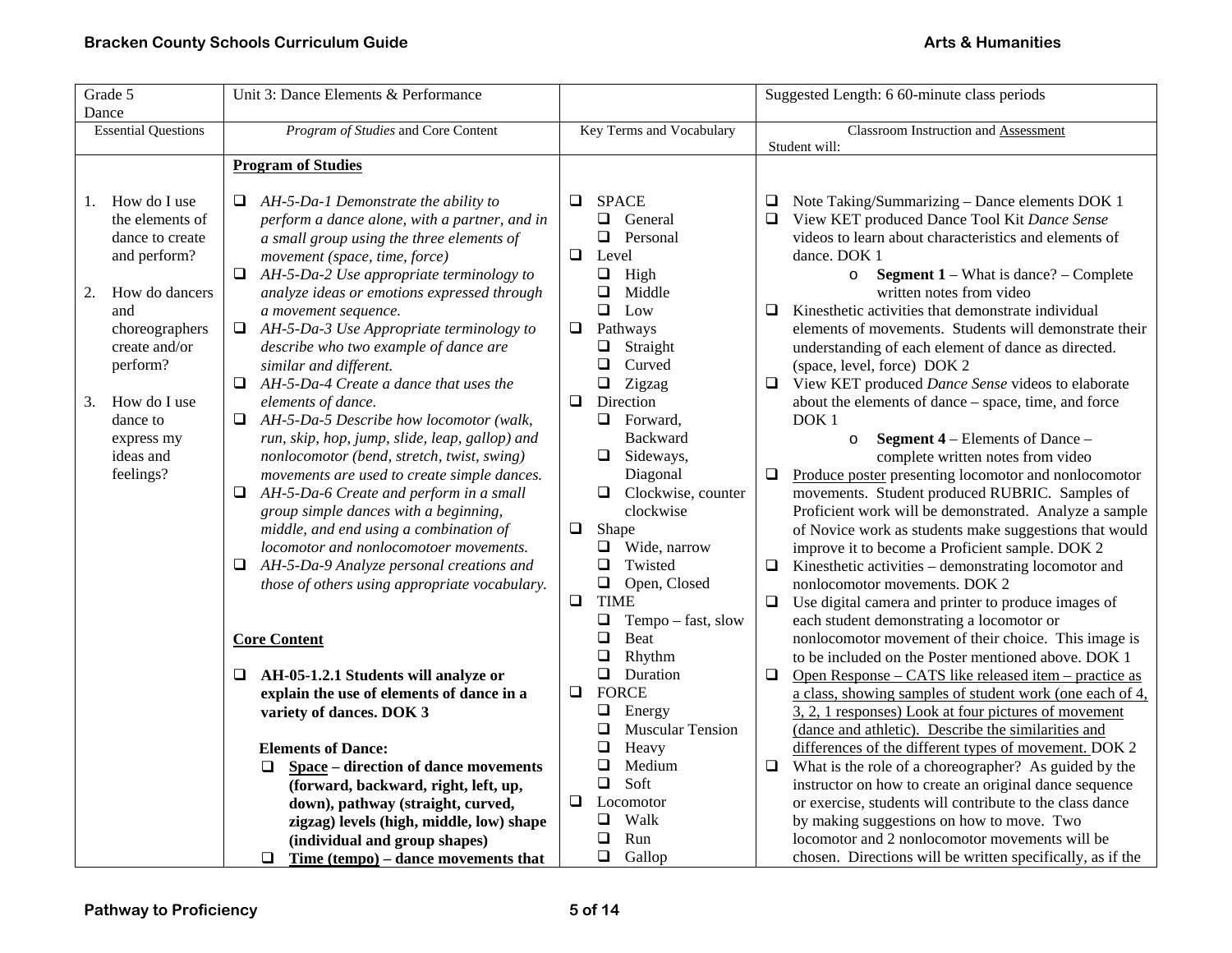| Grade 5                                                                                                                                                                                                                          | Unit 3: Dance Elements & Performance                                                                                                                                                                                                                                                                                                                                                                                                                                                                                                                                                                                                                                                                                                                                                                                                                                                                                                                                                                                                                                                                                                                        |                                                                                                                                                                                                                                                                                                                                                                                                                                                                                                                                                                                                                                       | Suggested Length: 6 60-minute class periods                                                                                                                                                                                                                                                                                                                                                                                                                                                                                                                                                                                                                                                                                                                                                                                                                                                                                                                                                                                                                                                                                                                                                                                                                                                                                                                                                                                                                                                                                                                                                                       |
|----------------------------------------------------------------------------------------------------------------------------------------------------------------------------------------------------------------------------------|-------------------------------------------------------------------------------------------------------------------------------------------------------------------------------------------------------------------------------------------------------------------------------------------------------------------------------------------------------------------------------------------------------------------------------------------------------------------------------------------------------------------------------------------------------------------------------------------------------------------------------------------------------------------------------------------------------------------------------------------------------------------------------------------------------------------------------------------------------------------------------------------------------------------------------------------------------------------------------------------------------------------------------------------------------------------------------------------------------------------------------------------------------------|---------------------------------------------------------------------------------------------------------------------------------------------------------------------------------------------------------------------------------------------------------------------------------------------------------------------------------------------------------------------------------------------------------------------------------------------------------------------------------------------------------------------------------------------------------------------------------------------------------------------------------------|-------------------------------------------------------------------------------------------------------------------------------------------------------------------------------------------------------------------------------------------------------------------------------------------------------------------------------------------------------------------------------------------------------------------------------------------------------------------------------------------------------------------------------------------------------------------------------------------------------------------------------------------------------------------------------------------------------------------------------------------------------------------------------------------------------------------------------------------------------------------------------------------------------------------------------------------------------------------------------------------------------------------------------------------------------------------------------------------------------------------------------------------------------------------------------------------------------------------------------------------------------------------------------------------------------------------------------------------------------------------------------------------------------------------------------------------------------------------------------------------------------------------------------------------------------------------------------------------------------------------|
| Dance                                                                                                                                                                                                                            |                                                                                                                                                                                                                                                                                                                                                                                                                                                                                                                                                                                                                                                                                                                                                                                                                                                                                                                                                                                                                                                                                                                                                             |                                                                                                                                                                                                                                                                                                                                                                                                                                                                                                                                                                                                                                       |                                                                                                                                                                                                                                                                                                                                                                                                                                                                                                                                                                                                                                                                                                                                                                                                                                                                                                                                                                                                                                                                                                                                                                                                                                                                                                                                                                                                                                                                                                                                                                                                                   |
| <b>Essential Questions</b>                                                                                                                                                                                                       | Program of Studies and Core Content                                                                                                                                                                                                                                                                                                                                                                                                                                                                                                                                                                                                                                                                                                                                                                                                                                                                                                                                                                                                                                                                                                                         | Key Terms and Vocabulary                                                                                                                                                                                                                                                                                                                                                                                                                                                                                                                                                                                                              | Classroom Instruction and Assessment                                                                                                                                                                                                                                                                                                                                                                                                                                                                                                                                                                                                                                                                                                                                                                                                                                                                                                                                                                                                                                                                                                                                                                                                                                                                                                                                                                                                                                                                                                                                                                              |
|                                                                                                                                                                                                                                  |                                                                                                                                                                                                                                                                                                                                                                                                                                                                                                                                                                                                                                                                                                                                                                                                                                                                                                                                                                                                                                                                                                                                                             |                                                                                                                                                                                                                                                                                                                                                                                                                                                                                                                                                                                                                                       |                                                                                                                                                                                                                                                                                                                                                                                                                                                                                                                                                                                                                                                                                                                                                                                                                                                                                                                                                                                                                                                                                                                                                                                                                                                                                                                                                                                                                                                                                                                                                                                                                   |
|                                                                                                                                                                                                                                  |                                                                                                                                                                                                                                                                                                                                                                                                                                                                                                                                                                                                                                                                                                                                                                                                                                                                                                                                                                                                                                                                                                                                                             |                                                                                                                                                                                                                                                                                                                                                                                                                                                                                                                                                                                                                                       |                                                                                                                                                                                                                                                                                                                                                                                                                                                                                                                                                                                                                                                                                                                                                                                                                                                                                                                                                                                                                                                                                                                                                                                                                                                                                                                                                                                                                                                                                                                                                                                                                   |
| How do I use<br>1.<br>the elements of<br>dance to create<br>and perform?<br>How do dancers<br>2.<br>and<br>choreographers<br>create and/or<br>perform?<br>How do I use<br>3.<br>dance to<br>express my<br>ideas and<br>feelings? | <b>Program of Studies</b><br>AH-5-Da-1 Demonstrate the ability to<br>□<br>perform a dance alone, with a partner, and in<br>a small group using the three elements of<br>movement (space, time, force)<br>AH-5-Da-2 Use appropriate terminology to<br>❏<br>analyze ideas or emotions expressed through<br>a movement sequence.<br>AH-5-Da-3 Use Appropriate terminology to<br>$\Box$<br>describe who two example of dance are<br>similar and different.<br>AH-5-Da-4 Create a dance that uses the<br>elements of dance.<br>AH-5-Da-5 Describe how locomotor (walk,<br>$\Box$<br>run, skip, hop, jump, slide, leap, gallop) and<br>nonlocomotor (bend, stretch, twist, swing)<br>movements are used to create simple dances.<br>AH-5-Da-6 Create and perform in a small<br>$\Box$<br>group simple dances with a beginning,<br>middle, and end using a combination of<br>locomotor and nonlocomotoer movements.<br>AH-5-Da-9 Analyze personal creations and<br>⊔<br>those of others using appropriate vocabulary.<br><b>Core Content</b><br>AH-05-1.2.1 Students will analyze or<br>❏<br>explain the use of elements of dance in a<br>variety of dances. DOK 3 | <b>SPACE</b><br>$\Box$<br>General<br>Q.<br>$\Box$<br>Personal<br>$\Box$<br>Level<br>$\Box$<br>High<br>Middle<br>0<br>$\Box$ Low<br>$\Box$<br>Pathways<br>Straight<br>Q<br>❏<br>Curved<br>$\Box$<br>Zigzag<br>$\Box$<br>Direction<br>$\Box$<br>Forward.<br>Backward<br>$\Box$ Sideways,<br>Diagonal<br>Clockwise, counter<br>$\Box$<br>clockwise<br>$\Box$<br>Shape<br>Wide, narrow<br>Q.<br>$\Box$<br>Twisted<br>$\Box$<br>Open, Closed<br>$\Box$<br><b>TIME</b><br>$\Box$<br>Tempo - fast, slow<br>$\Box$<br>Beat<br>$\Box$<br>Rhythm<br>Duration<br>$\Box$<br>$\Box$<br><b>FORCE</b><br>❏<br>Energy<br>❏<br><b>Muscular Tension</b> | Student will:<br>$\Box$ Note Taking/Summarizing – Dance elements DOK 1<br>View KET produced Dance Tool Kit Dance Sense<br>□<br>videos to learn about characteristics and elements of<br>dance. DOK 1<br><b>Segment 1</b> – What is dance? – Complete<br>$\circ$<br>written notes from video<br>$\Box$<br>Kinesthetic activities that demonstrate individual<br>elements of movements. Students will demonstrate their<br>understanding of each element of dance as directed.<br>(space, level, force) DOK 2<br>View KET produced Dance Sense videos to elaborate<br>$\Box$<br>about the elements of dance – space, time, and force<br>DOK <sub>1</sub><br><b>Segment 4</b> – Elements of Dance –<br>$\circ$<br>complete written notes from video<br>Produce poster presenting locomotor and nonlocomotor<br>❏<br>movements. Student produced RUBRIC. Samples of<br>Proficient work will be demonstrated. Analyze a sample<br>of Novice work as students make suggestions that would<br>improve it to become a Proficient sample. DOK 2<br>$\Box$ Kinesthetic activities – demonstrating locomotor and<br>nonlocomotor movements. DOK 2<br>$\Box$<br>Use digital camera and printer to produce images of<br>each student demonstrating a locomotor or<br>nonlocomotor movement of their choice. This image is<br>to be included on the Poster mentioned above. DOK 1<br>Open Response – CATS like released item – practice as<br>$\Box$<br>a class, showing samples of student work (one each of 4,<br>3, 2, 1 responses) Look at four pictures of movement<br>(dance and athletic). Describe the similarities and |
|                                                                                                                                                                                                                                  | <b>Elements of Dance:</b>                                                                                                                                                                                                                                                                                                                                                                                                                                                                                                                                                                                                                                                                                                                                                                                                                                                                                                                                                                                                                                                                                                                                   | Heavy<br>❏                                                                                                                                                                                                                                                                                                                                                                                                                                                                                                                                                                                                                            | differences of the different types of movement. DOK 2                                                                                                                                                                                                                                                                                                                                                                                                                                                                                                                                                                                                                                                                                                                                                                                                                                                                                                                                                                                                                                                                                                                                                                                                                                                                                                                                                                                                                                                                                                                                                             |
|                                                                                                                                                                                                                                  | Space – direction of dance movements<br>□                                                                                                                                                                                                                                                                                                                                                                                                                                                                                                                                                                                                                                                                                                                                                                                                                                                                                                                                                                                                                                                                                                                   | ❏<br>Medium                                                                                                                                                                                                                                                                                                                                                                                                                                                                                                                                                                                                                           | What is the role of a choreographer? As guided by the<br>$\Box$                                                                                                                                                                                                                                                                                                                                                                                                                                                                                                                                                                                                                                                                                                                                                                                                                                                                                                                                                                                                                                                                                                                                                                                                                                                                                                                                                                                                                                                                                                                                                   |
|                                                                                                                                                                                                                                  | (forward, backward, right, left, up,                                                                                                                                                                                                                                                                                                                                                                                                                                                                                                                                                                                                                                                                                                                                                                                                                                                                                                                                                                                                                                                                                                                        | $\Box$<br>Soft                                                                                                                                                                                                                                                                                                                                                                                                                                                                                                                                                                                                                        | instructor on how to create an original dance sequence                                                                                                                                                                                                                                                                                                                                                                                                                                                                                                                                                                                                                                                                                                                                                                                                                                                                                                                                                                                                                                                                                                                                                                                                                                                                                                                                                                                                                                                                                                                                                            |
|                                                                                                                                                                                                                                  | down), pathway (straight, curved,                                                                                                                                                                                                                                                                                                                                                                                                                                                                                                                                                                                                                                                                                                                                                                                                                                                                                                                                                                                                                                                                                                                           | $\Box$<br>Locomotor                                                                                                                                                                                                                                                                                                                                                                                                                                                                                                                                                                                                                   | or exercise, students will contribute to the class dance                                                                                                                                                                                                                                                                                                                                                                                                                                                                                                                                                                                                                                                                                                                                                                                                                                                                                                                                                                                                                                                                                                                                                                                                                                                                                                                                                                                                                                                                                                                                                          |
|                                                                                                                                                                                                                                  | zigzag) levels (high, middle, low) shape                                                                                                                                                                                                                                                                                                                                                                                                                                                                                                                                                                                                                                                                                                                                                                                                                                                                                                                                                                                                                                                                                                                    | Walk<br>Q.                                                                                                                                                                                                                                                                                                                                                                                                                                                                                                                                                                                                                            | by making suggestions on how to move. Two                                                                                                                                                                                                                                                                                                                                                                                                                                                                                                                                                                                                                                                                                                                                                                                                                                                                                                                                                                                                                                                                                                                                                                                                                                                                                                                                                                                                                                                                                                                                                                         |
|                                                                                                                                                                                                                                  | (individual and group shapes)                                                                                                                                                                                                                                                                                                                                                                                                                                                                                                                                                                                                                                                                                                                                                                                                                                                                                                                                                                                                                                                                                                                               | $\Box$<br>Run                                                                                                                                                                                                                                                                                                                                                                                                                                                                                                                                                                                                                         | locomotor and 2 nonlocomotor movements will be                                                                                                                                                                                                                                                                                                                                                                                                                                                                                                                                                                                                                                                                                                                                                                                                                                                                                                                                                                                                                                                                                                                                                                                                                                                                                                                                                                                                                                                                                                                                                                    |
|                                                                                                                                                                                                                                  | $\Box$ Time (tempo) – dance movements that                                                                                                                                                                                                                                                                                                                                                                                                                                                                                                                                                                                                                                                                                                                                                                                                                                                                                                                                                                                                                                                                                                                  | $\Box$<br>Gallop                                                                                                                                                                                                                                                                                                                                                                                                                                                                                                                                                                                                                      | chosen. Directions will be written specifically, as if the                                                                                                                                                                                                                                                                                                                                                                                                                                                                                                                                                                                                                                                                                                                                                                                                                                                                                                                                                                                                                                                                                                                                                                                                                                                                                                                                                                                                                                                                                                                                                        |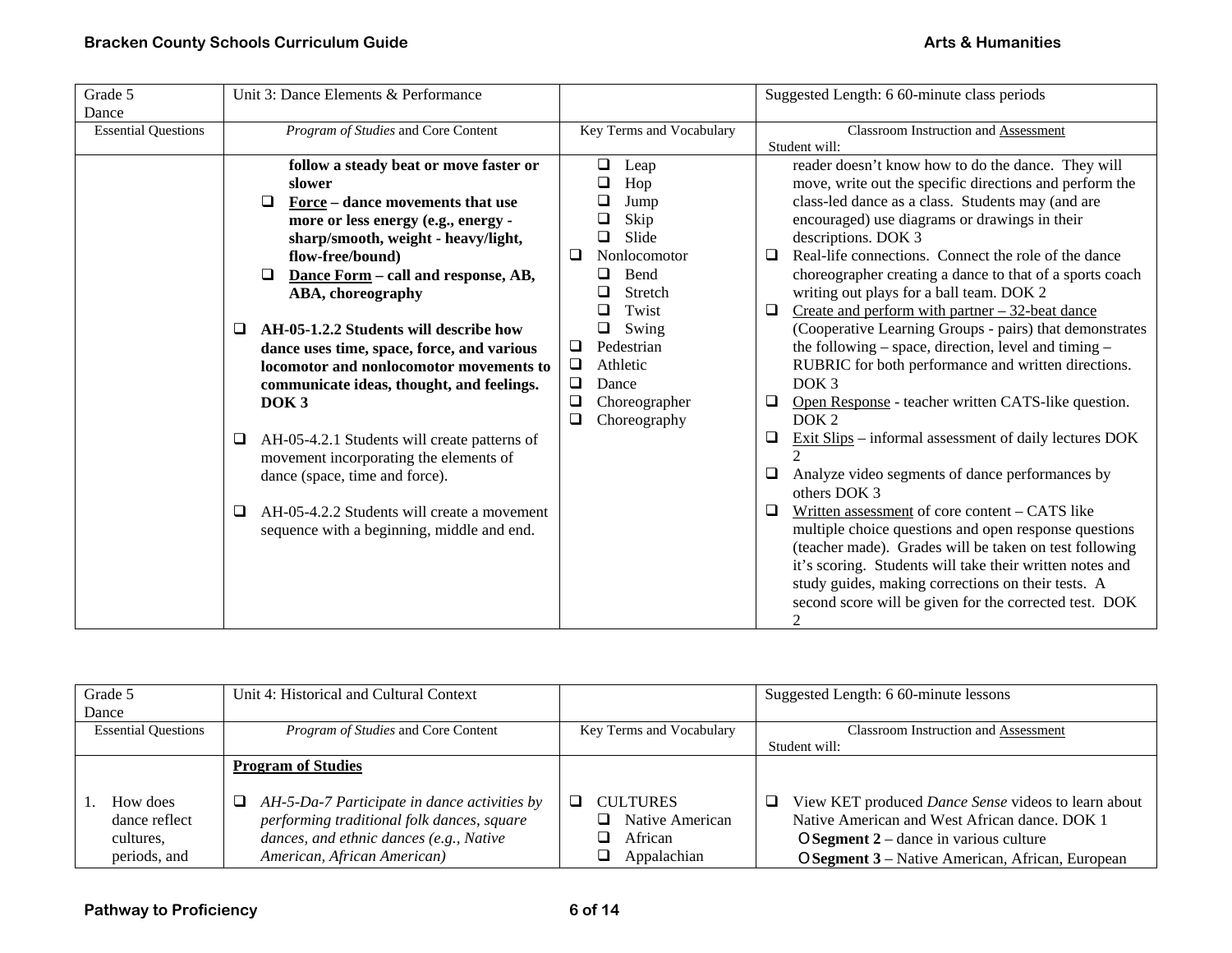| Grade 5                    | Unit 3: Dance Elements & Performance              |                          | Suggested Length: 6 60-minute class periods                                     |
|----------------------------|---------------------------------------------------|--------------------------|---------------------------------------------------------------------------------|
| Dance                      |                                                   |                          |                                                                                 |
| <b>Essential Questions</b> | Program of Studies and Core Content               | Key Terms and Vocabulary | Classroom Instruction and Assessment                                            |
|                            |                                                   |                          | Student will:                                                                   |
|                            | follow a steady beat or move faster or            | $\Box$<br>Leap           | reader doesn't know how to do the dance. They will                              |
|                            | slower                                            | Hop<br>❏                 | move, write out the specific directions and perform the                         |
|                            | Force – dance movements that use<br>❏             | Jump                     | class-led dance as a class. Students may (and are                               |
|                            | more or less energy (e.g., energy -               | Skip                     | encouraged) use diagrams or drawings in their                                   |
|                            | sharp/smooth, weight - heavy/light,               | Slide<br>$\Box$          | descriptions. DOK 3                                                             |
|                            | flow-free/bound)                                  | Nonlocomotor<br>u        | Real-life connections. Connect the role of the dance<br>$\Box$                  |
|                            | Dance Form - call and response, AB,<br>□          | Bend<br>ப                | choreographer creating a dance to that of a sports coach                        |
|                            | ABA, choreography                                 | Stretch                  | writing out plays for a ball team. DOK 2                                        |
|                            |                                                   | Twist<br>□               | Create and perform with partner $-32$ -beat dance<br>0.                         |
|                            | AH-05-1.2.2 Students will describe how<br>$\Box$  | Swing<br>❏               | (Cooperative Learning Groups - pairs) that demonstrates                         |
|                            | dance uses time, space, force, and various        | Pedestrian<br>⊔          | the following $-$ space, direction, level and timing $-$                        |
|                            | locomotor and nonlocomotor movements to           | $\Box$<br>Athletic       | RUBRIC for both performance and written directions.                             |
|                            | communicate ideas, thought, and feelings.         | ❏<br>Dance               | DOK <sub>3</sub>                                                                |
|                            | DOK <sub>3</sub>                                  | $\Box$<br>Choreographer  | Open Response - teacher written CATS-like question.<br>0.                       |
|                            |                                                   | ❏<br>Choreography        | DOK <sub>2</sub>                                                                |
|                            | AH-05-4.2.1 Students will create patterns of<br>□ |                          | $\overline{\text{Exit Slips}}$ – informal assessment of daily lectures DOK<br>⊔ |
|                            | movement incorporating the elements of            |                          |                                                                                 |
|                            | dance (space, time and force).                    |                          | $\Box$<br>Analyze video segments of dance performances by                       |
|                            |                                                   |                          | others DOK 3                                                                    |
|                            | AH-05-4.2.2 Students will create a movement<br>□  |                          | Written assessment of core content - CATS like<br>□                             |
|                            | sequence with a beginning, middle and end.        |                          | multiple choice questions and open response questions                           |
|                            |                                                   |                          | (teacher made). Grades will be taken on test following                          |
|                            |                                                   |                          | it's scoring. Students will take their written notes and                        |
|                            |                                                   |                          | study guides, making corrections on their tests. A                              |
|                            |                                                   |                          | second score will be given for the corrected test. DOK                          |
|                            |                                                   |                          | 2                                                                               |

| Grade 5                                                | Unit 4: Historical and Cultural Context                                                                                                                                   |                                                                   | Suggested Length: 6 60-minute lessons                                                                                                                                                                     |
|--------------------------------------------------------|---------------------------------------------------------------------------------------------------------------------------------------------------------------------------|-------------------------------------------------------------------|-----------------------------------------------------------------------------------------------------------------------------------------------------------------------------------------------------------|
| Dance                                                  |                                                                                                                                                                           |                                                                   |                                                                                                                                                                                                           |
| <b>Essential Questions</b>                             | <i>Program of Studies</i> and Core Content                                                                                                                                | Key Terms and Vocabulary                                          | <b>Classroom Instruction and Assessment</b>                                                                                                                                                               |
|                                                        |                                                                                                                                                                           |                                                                   | Student will:                                                                                                                                                                                             |
|                                                        | <b>Program of Studies</b>                                                                                                                                                 |                                                                   |                                                                                                                                                                                                           |
| How does<br>dance reflect<br>cultures.<br>periods, and | AH-5-Da-7 Participate in dance activities by<br>⊔<br>performing traditional folk dances, square<br>dances, and ethnic dances (e.g., Native<br>American, African American) | <b>CULTURES</b><br>Native American<br>┒<br>African<br>Appalachian | View KET produced Dance Sense videos to learn about<br>⊔<br>Native American and West African dance, DOK 1<br>$OS segment 2 - dance in various culture$<br>OSegment 3 – Native American, African, European |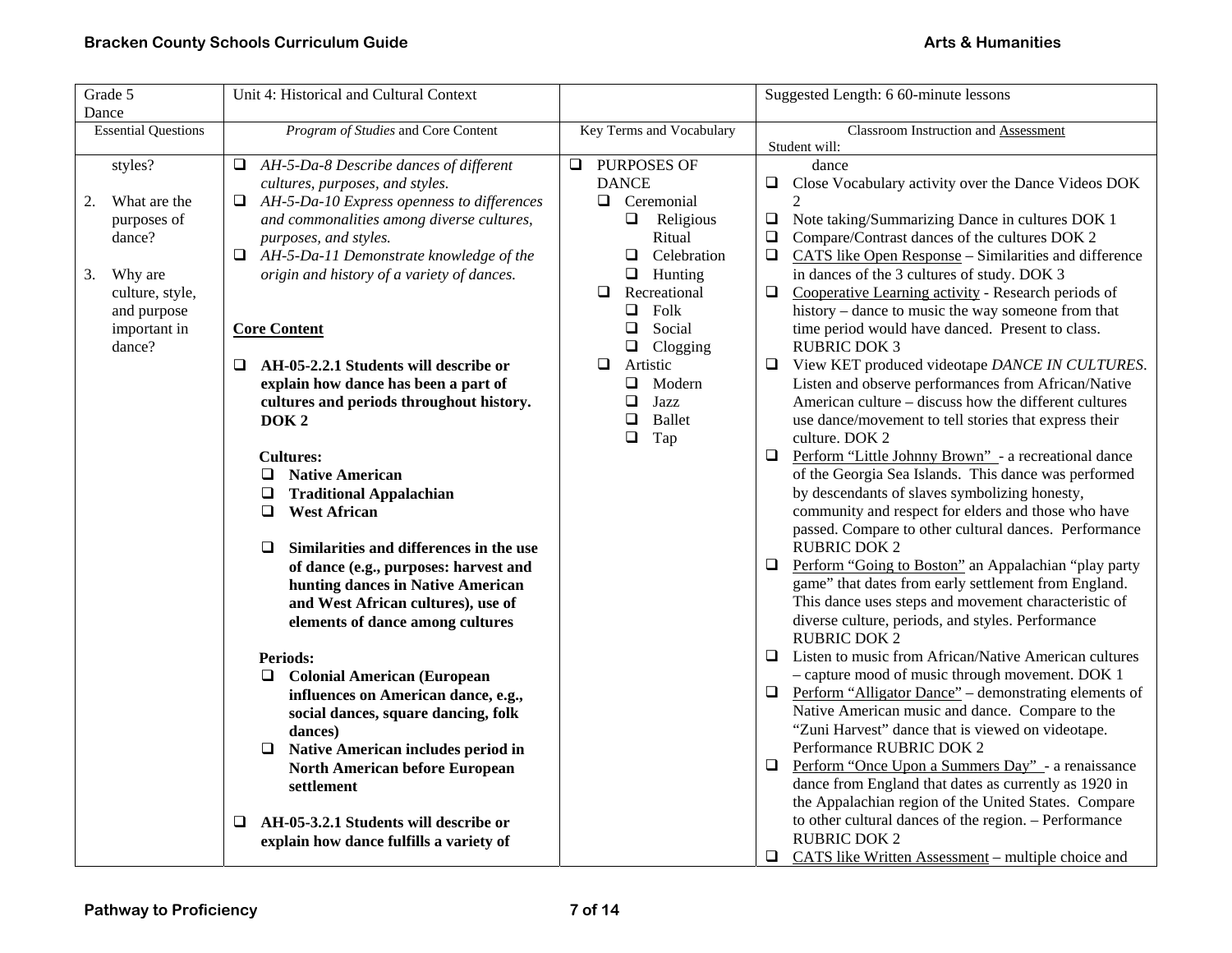| Grade 5                    | Unit 4: Historical and Cultural Context                                             |                                       | Suggested Length: 6 60-minute lessons                                        |  |
|----------------------------|-------------------------------------------------------------------------------------|---------------------------------------|------------------------------------------------------------------------------|--|
| Dance                      |                                                                                     |                                       |                                                                              |  |
| <b>Essential Questions</b> | Program of Studies and Core Content                                                 | Key Terms and Vocabulary              | Classroom Instruction and Assessment                                         |  |
|                            |                                                                                     |                                       | Student will:                                                                |  |
| styles?                    | AH-5-Da-8 Describe dances of different<br>Q.                                        | PURPOSES OF<br>$\Box$<br><b>DANCE</b> | dance                                                                        |  |
| What are the               | cultures, purposes, and styles.<br>AH-5-Da-10 Express openness to differences<br>Q. | $\Box$ Ceremonial                     | □<br>Close Vocabulary activity over the Dance Videos DOK<br>2                |  |
| 2.<br>purposes of          | and commonalities among diverse cultures,                                           | $\Box$ Religious                      | $\Box$<br>Note taking/Summarizing Dance in cultures DOK 1                    |  |
| dance?                     | purposes, and styles.                                                               | Ritual                                | $\Box$<br>Compare/Contrast dances of the cultures DOK 2                      |  |
|                            | $\Box$ AH-5-Da-11 Demonstrate knowledge of the                                      | $\Box$<br>Celebration                 | $\Box$<br>CATS like Open Response – Similarities and difference              |  |
| Why are<br>3.              | origin and history of a variety of dances.                                          | $\Box$<br>Hunting                     | in dances of the 3 cultures of study. DOK 3                                  |  |
| culture, style,            |                                                                                     | Recreational<br>❏                     | $\Box$<br>Cooperative Learning activity - Research periods of                |  |
| and purpose                |                                                                                     | $\Box$<br>Folk                        | history – dance to music the way someone from that                           |  |
| important in               | <b>Core Content</b>                                                                 | Social<br>❏                           | time period would have danced. Present to class.                             |  |
| dance?                     |                                                                                     | $\Box$<br>Clogging                    | <b>RUBRIC DOK 3</b>                                                          |  |
|                            | AH-05-2.2.1 Students will describe or<br>u                                          | Artistic<br>□                         | View KET produced videotape DANCE IN CULTURES.<br>$\Box$                     |  |
|                            | explain how dance has been a part of                                                | $\Box$<br>Modern                      | Listen and observe performances from African/Native                          |  |
|                            | cultures and periods throughout history.                                            | $\Box$<br>Jazz                        | American culture – discuss how the different cultures                        |  |
|                            | DOK <sub>2</sub>                                                                    | <b>Ballet</b><br>$\Box$               | use dance/movement to tell stories that express their                        |  |
|                            |                                                                                     | $\Box$<br>Tap                         | culture. DOK 2                                                               |  |
|                            | <b>Cultures:</b>                                                                    |                                       | Perform "Little Johnny Brown" - a recreational dance<br>❏                    |  |
|                            | <b>Native American</b><br>Q.                                                        |                                       | of the Georgia Sea Islands. This dance was performed                         |  |
|                            | <b>Traditional Appalachian</b><br>⊔                                                 |                                       | by descendants of slaves symbolizing honesty,                                |  |
|                            | <b>West African</b><br>❏                                                            |                                       | community and respect for elders and those who have                          |  |
|                            |                                                                                     |                                       | passed. Compare to other cultural dances. Performance<br><b>RUBRIC DOK 2</b> |  |
|                            | Similarities and differences in the use<br>$\Box$                                   |                                       | Perform "Going to Boston" an Appalachian "play party<br>❏                    |  |
|                            | of dance (e.g., purposes: harvest and<br>hunting dances in Native American          |                                       | game" that dates from early settlement from England.                         |  |
|                            | and West African cultures), use of                                                  |                                       | This dance uses steps and movement characteristic of                         |  |
|                            | elements of dance among cultures                                                    |                                       | diverse culture, periods, and styles. Performance                            |  |
|                            |                                                                                     |                                       | <b>RUBRIC DOK 2</b>                                                          |  |
|                            | <b>Periods:</b>                                                                     |                                       | Listen to music from African/Native American cultures<br>□                   |  |
|                            | <b>Colonial American (European</b><br>Q.                                            |                                       | - capture mood of music through movement. DOK 1                              |  |
|                            | influences on American dance, e.g.,                                                 |                                       | Perform "Alligator Dance" – demonstrating elements of<br>⊔                   |  |
|                            | social dances, square dancing, folk                                                 |                                       | Native American music and dance. Compare to the                              |  |
|                            | dances)                                                                             |                                       | "Zuni Harvest" dance that is viewed on videotape.                            |  |
|                            | Native American includes period in<br>⊔                                             |                                       | Performance RUBRIC DOK 2                                                     |  |
|                            | North American before European                                                      |                                       | Perform "Once Upon a Summers Day" - a renaissance<br>$\Box$                  |  |
|                            | settlement                                                                          |                                       | dance from England that dates as currently as 1920 in                        |  |
|                            |                                                                                     |                                       | the Appalachian region of the United States. Compare                         |  |
|                            | AH-05-3.2.1 Students will describe or<br>❏                                          |                                       | to other cultural dances of the region. - Performance                        |  |
|                            | explain how dance fulfills a variety of                                             |                                       | <b>RUBRIC DOK 2</b>                                                          |  |
|                            |                                                                                     |                                       | CATS like Written Assessment - multiple choice and<br>⊔                      |  |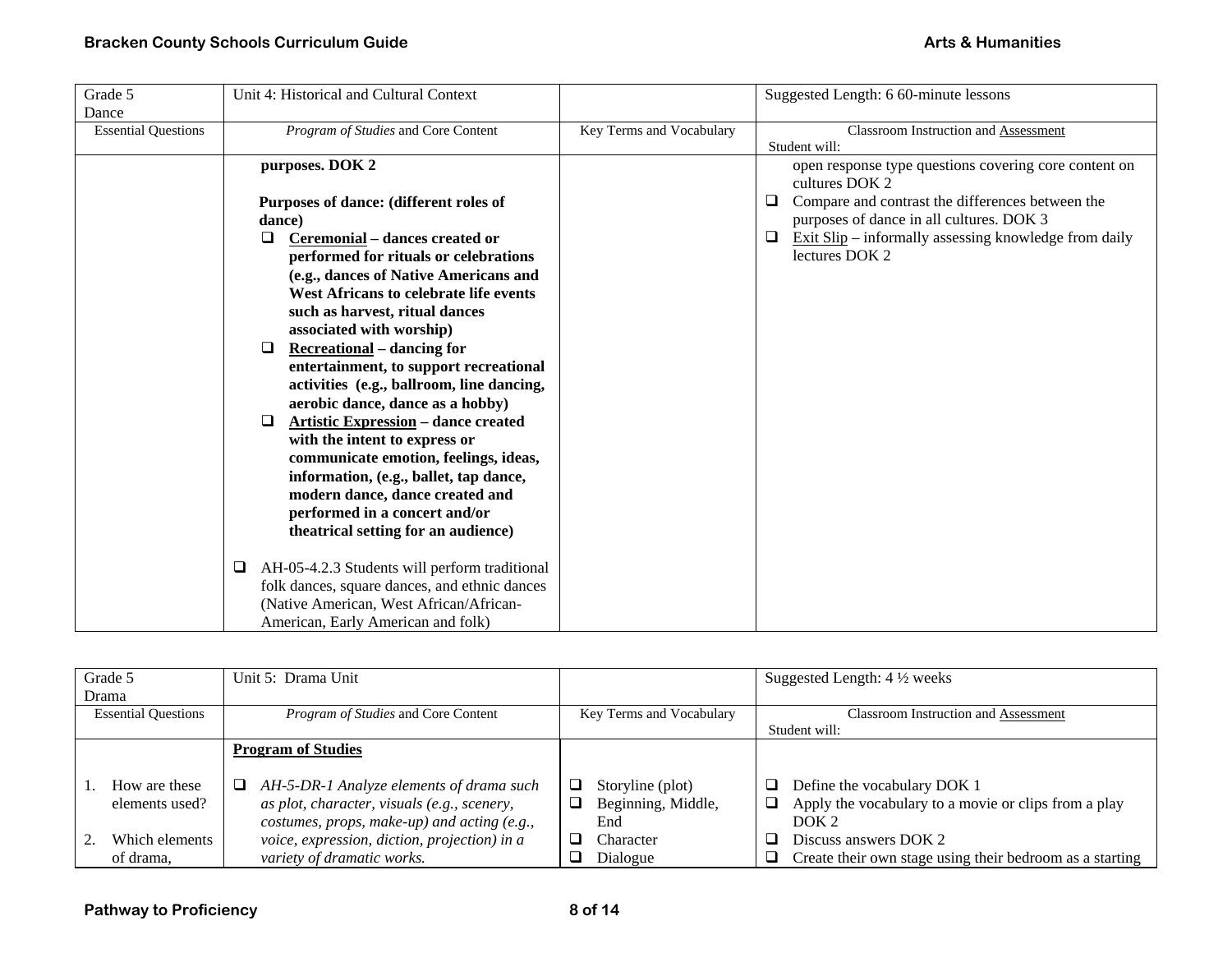| Grade 5                    | Unit 4: Historical and Cultural Context         |                          | Suggested Length: 6 60-minute lessons                                                                                            |
|----------------------------|-------------------------------------------------|--------------------------|----------------------------------------------------------------------------------------------------------------------------------|
| Dance                      |                                                 |                          |                                                                                                                                  |
| <b>Essential Questions</b> | Program of Studies and Core Content             | Key Terms and Vocabulary | <b>Classroom Instruction and Assessment</b>                                                                                      |
|                            |                                                 |                          | Student will:                                                                                                                    |
|                            | purposes. DOK 2                                 |                          | open response type questions covering core content on<br>cultures DOK 2<br>Compare and contrast the differences between the<br>⊔ |
|                            | Purposes of dance: (different roles of          |                          |                                                                                                                                  |
|                            | dance)                                          |                          | purposes of dance in all cultures. DOK 3                                                                                         |
|                            | Ceremonial - dances created or<br>$\Box$        |                          | Exit Slip – informally assessing knowledge from daily<br>⊔                                                                       |
|                            | performed for rituals or celebrations           |                          | lectures DOK 2                                                                                                                   |
|                            | (e.g., dances of Native Americans and           |                          |                                                                                                                                  |
|                            | West Africans to celebrate life events          |                          |                                                                                                                                  |
|                            | such as harvest, ritual dances                  |                          |                                                                                                                                  |
|                            | associated with worship)                        |                          |                                                                                                                                  |
|                            | <b>Recreational</b> – dancing for<br>□          |                          |                                                                                                                                  |
|                            | entertainment, to support recreational          |                          |                                                                                                                                  |
|                            | activities (e.g., ballroom, line dancing,       |                          |                                                                                                                                  |
|                            | aerobic dance, dance as a hobby)                |                          |                                                                                                                                  |
|                            | <b>Artistic Expression - dance created</b><br>□ |                          |                                                                                                                                  |
|                            | with the intent to express or                   |                          |                                                                                                                                  |
|                            | communicate emotion, feelings, ideas,           |                          |                                                                                                                                  |
|                            | information, (e.g., ballet, tap dance,          |                          |                                                                                                                                  |
|                            | modern dance, dance created and                 |                          |                                                                                                                                  |
|                            | performed in a concert and/or                   |                          |                                                                                                                                  |
|                            | theatrical setting for an audience)             |                          |                                                                                                                                  |
|                            | □                                               |                          |                                                                                                                                  |
|                            | AH-05-4.2.3 Students will perform traditional   |                          |                                                                                                                                  |
|                            | folk dances, square dances, and ethnic dances   |                          |                                                                                                                                  |
|                            | (Native American, West African/African-         |                          |                                                                                                                                  |
|                            | American, Early American and folk)              |                          |                                                                                                                                  |

|                            | Grade 5        | Unit 5: Drama Unit                             |   |                          |    | Suggested Length: $4\frac{1}{2}$ weeks                   |
|----------------------------|----------------|------------------------------------------------|---|--------------------------|----|----------------------------------------------------------|
|                            | Drama          |                                                |   |                          |    |                                                          |
| <b>Essential Questions</b> |                | <i>Program of Studies</i> and Core Content     |   | Key Terms and Vocabulary |    | <b>Classroom Instruction and Assessment</b>              |
|                            |                |                                                |   |                          |    | Student will:                                            |
|                            |                | <b>Program of Studies</b>                      |   |                          |    |                                                          |
|                            |                |                                                |   |                          |    |                                                          |
|                            | How are these  | AH-5-DR-1 Analyze elements of drama such<br>⊔. |   | Storyline (plot)         | ப  | Define the vocabulary DOK 1                              |
|                            | elements used? | as plot, character, visuals (e.g., scenery,    | ⊔ | Beginning, Middle,       | ❏. | Apply the vocabulary to a movie or clips from a play     |
|                            |                | costumes, props, make-up) and acting (e.g.,    |   | End                      |    | DOK <sub>2</sub>                                         |
|                            | Which elements | voice, expression, diction, projection) in a   |   | Character                |    | Discuss answers DOK 2                                    |
|                            | of drama,      | variety of dramatic works.                     |   | Dialogue                 | Q. | Create their own stage using their bedroom as a starting |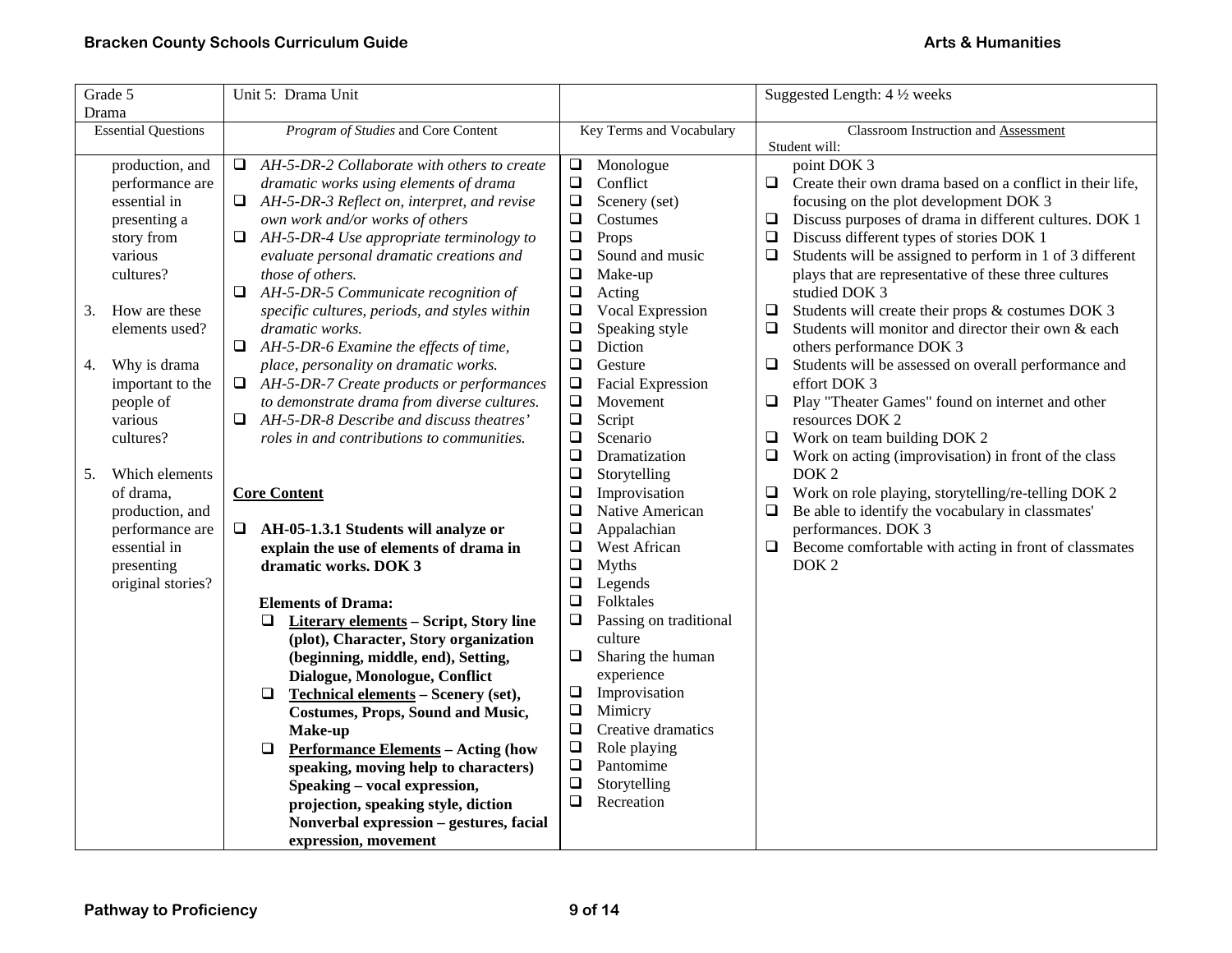| Grade 5                    | Unit 5: Drama Unit                                    |                                    | Suggested Length: 4 1/2 weeks                                      |  |
|----------------------------|-------------------------------------------------------|------------------------------------|--------------------------------------------------------------------|--|
| Drama                      |                                                       |                                    |                                                                    |  |
| <b>Essential Questions</b> | Program of Studies and Core Content                   | Key Terms and Vocabulary           | Classroom Instruction and Assessment                               |  |
|                            |                                                       |                                    | Student will:                                                      |  |
| production, and            | AH-5-DR-2 Collaborate with others to create<br>$\Box$ | Monologue<br>$\Box$                | point DOK 3                                                        |  |
| performance are            | dramatic works using elements of drama                | $\Box$<br>Conflict                 | $\Box$ Create their own drama based on a conflict in their life,   |  |
| essential in               | $\Box$<br>AH-5-DR-3 Reflect on, interpret, and revise | $\Box$<br>Scenery (set)            | focusing on the plot development DOK 3                             |  |
| presenting a               | own work and/or works of others                       | $\Box$<br>Costumes                 | Discuss purposes of drama in different cultures. DOK 1<br>$\Box$   |  |
| story from                 | AH-5-DR-4 Use appropriate terminology to<br>❏         | $\Box$<br>Props                    | Discuss different types of stories DOK 1                           |  |
| various                    | evaluate personal dramatic creations and              | $\Box$<br>Sound and music          | Students will be assigned to perform in 1 of 3 different<br>$\Box$ |  |
| cultures?                  | those of others.                                      | $\Box$<br>Make-up                  | plays that are representative of these three cultures              |  |
|                            | $\Box$ AH-5-DR-5 Communicate recognition of           | $\Box$<br>Acting                   | studied DOK 3                                                      |  |
| How are these<br>3.        | specific cultures, periods, and styles within         | Vocal Expression<br>$\Box$         | Students will create their props & costumes DOK 3<br>⊔             |  |
| elements used?             | dramatic works.                                       | $\Box$<br>Speaking style           | Students will monitor and director their own & each<br>□           |  |
|                            | AH-5-DR-6 Examine the effects of time,<br>Q.          | $\Box$<br>Diction                  | others performance DOK 3                                           |  |
| Why is drama<br>4.         | place, personality on dramatic works.                 | $\Box$<br>Gesture                  | Students will be assessed on overall performance and<br>$\Box$     |  |
| important to the           | AH-5-DR-7 Create products or performances<br>$\Box$   | $\Box$<br><b>Facial Expression</b> | effort DOK 3                                                       |  |
| people of                  | to demonstrate drama from diverse cultures.           | $\Box$<br>Movement                 | Play "Theater Games" found on internet and other<br>❏              |  |
| various                    | AH-5-DR-8 Describe and discuss theatres'<br>$\Box$    | $\Box$<br>Script                   | resources DOK 2                                                    |  |
| cultures?                  | roles in and contributions to communities.            | $\Box$<br>Scenario                 | Work on team building DOK 2<br>$\Box$                              |  |
|                            |                                                       | $\Box$<br>Dramatization            | Work on acting (improvisation) in front of the class               |  |
| Which elements<br>5.       |                                                       | $\Box$<br>Storytelling             | DOK <sub>2</sub>                                                   |  |
| of drama,                  | <b>Core Content</b>                                   | $\Box$<br>Improvisation            | Work on role playing, storytelling/re-telling DOK 2<br>$\Box$      |  |
| production, and            |                                                       | $\Box$<br>Native American          | $\Box$<br>Be able to identify the vocabulary in classmates'        |  |
| performance are            | $\Box$ AH-05-1.3.1 Students will analyze or           | $\Box$<br>Appalachian              | performances. DOK 3                                                |  |
| essential in               | explain the use of elements of drama in               | $\Box$<br>West African             | Become comfortable with acting in front of classmates<br>$\Box$    |  |
| presenting                 | dramatic works. DOK 3                                 | $\Box$<br><b>Myths</b>             | DOK <sub>2</sub>                                                   |  |
| original stories?          |                                                       | $\Box$<br>Legends                  |                                                                    |  |
|                            | <b>Elements of Drama:</b>                             | $\Box$<br>Folktales                |                                                                    |  |
|                            | Literary elements - Script, Story line<br>$\Box$      | Passing on traditional<br>❏        |                                                                    |  |
|                            | (plot), Character, Story organization                 | culture                            |                                                                    |  |
|                            | (beginning, middle, end), Setting,                    | $\Box$<br>Sharing the human        |                                                                    |  |
|                            | Dialogue, Monologue, Conflict                         | experience                         |                                                                    |  |
|                            | Technical elements - Scenery (set),<br>$\Box$         | $\Box$<br>Improvisation            |                                                                    |  |
|                            | <b>Costumes, Props, Sound and Music,</b>              | $\Box$<br>Mimicry                  |                                                                    |  |
|                            | Make-up                                               | $\Box$<br>Creative dramatics       |                                                                    |  |
|                            | <b>Performance Elements - Acting (how</b><br>$\Box$   | $\Box$<br>Role playing             |                                                                    |  |
|                            | speaking, moving help to characters)                  | $\Box$<br>Pantomime                |                                                                    |  |
|                            | Speaking - vocal expression,                          | $\Box$<br>Storytelling             |                                                                    |  |
|                            | projection, speaking style, diction                   | $\Box$<br>Recreation               |                                                                    |  |
|                            | Nonverbal expression - gestures, facial               |                                    |                                                                    |  |
|                            | expression, movement                                  |                                    |                                                                    |  |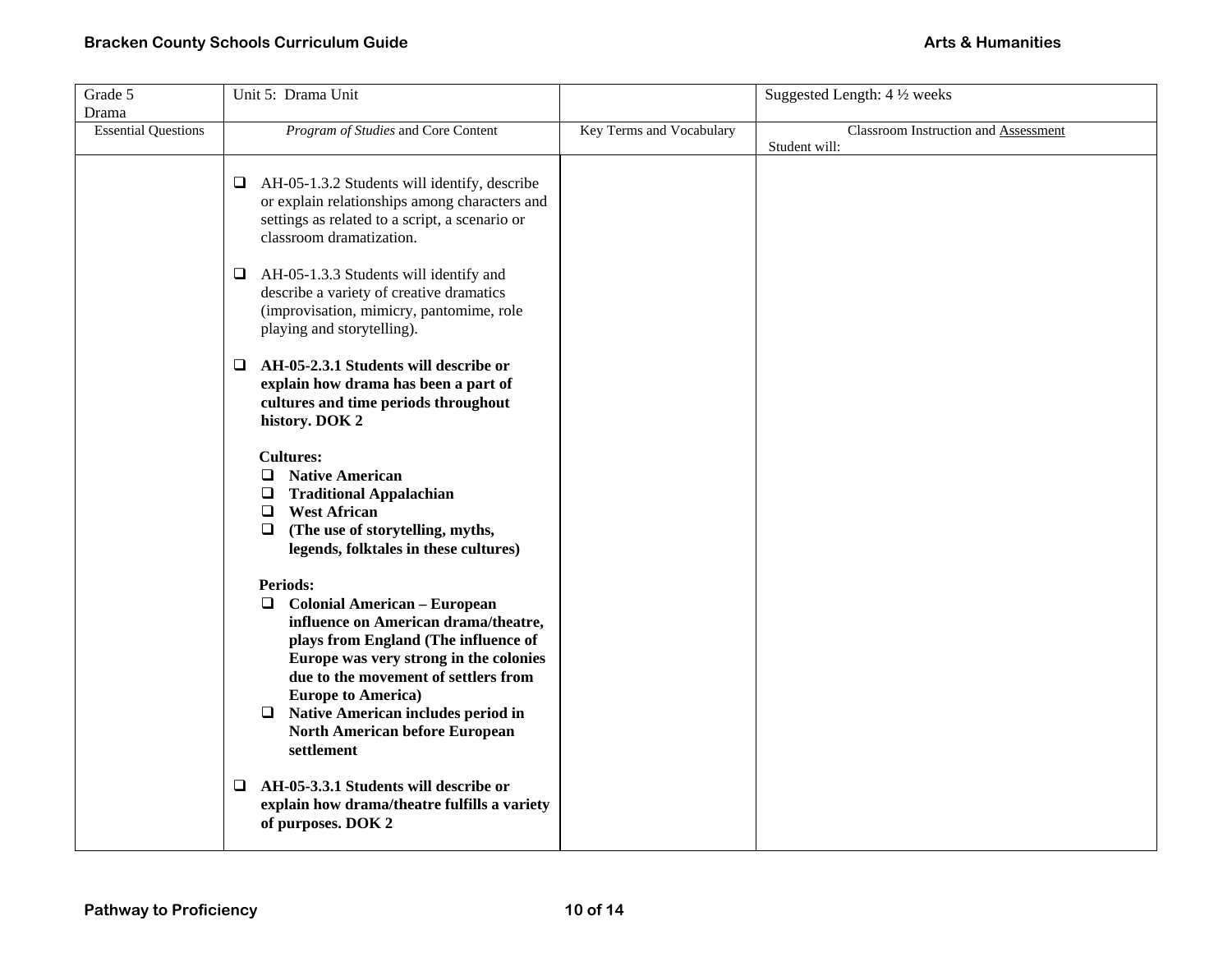| Grade 5                    | Unit 5: Drama Unit                                                           |                          | Suggested Length: 4 1/2 weeks                         |
|----------------------------|------------------------------------------------------------------------------|--------------------------|-------------------------------------------------------|
| Drama                      |                                                                              |                          |                                                       |
| <b>Essential Questions</b> | Program of Studies and Core Content                                          | Key Terms and Vocabulary | Classroom Instruction and Assessment<br>Student will: |
|                            |                                                                              |                          |                                                       |
|                            | $\Box$ AH-05-1.3.2 Students will identify, describe                          |                          |                                                       |
|                            | or explain relationships among characters and                                |                          |                                                       |
|                            | settings as related to a script, a scenario or                               |                          |                                                       |
|                            | classroom dramatization.                                                     |                          |                                                       |
|                            | $\Box$ AH-05-1.3.3 Students will identify and                                |                          |                                                       |
|                            | describe a variety of creative dramatics                                     |                          |                                                       |
|                            | (improvisation, mimicry, pantomime, role                                     |                          |                                                       |
|                            | playing and storytelling).                                                   |                          |                                                       |
|                            |                                                                              |                          |                                                       |
|                            | AH-05-2.3.1 Students will describe or<br>⊔                                   |                          |                                                       |
|                            | explain how drama has been a part of<br>cultures and time periods throughout |                          |                                                       |
|                            | history. DOK 2                                                               |                          |                                                       |
|                            |                                                                              |                          |                                                       |
|                            | <b>Cultures:</b>                                                             |                          |                                                       |
|                            | $\Box$<br><b>Native American</b>                                             |                          |                                                       |
|                            | $\Box$<br><b>Traditional Appalachian</b><br>$\Box$<br><b>West African</b>    |                          |                                                       |
|                            | (The use of storytelling, myths,<br>$\Box$                                   |                          |                                                       |
|                            | legends, folktales in these cultures)                                        |                          |                                                       |
|                            |                                                                              |                          |                                                       |
|                            | <b>Periods:</b>                                                              |                          |                                                       |
|                            | <b>Colonial American - European</b><br>❏                                     |                          |                                                       |
|                            | influence on American drama/theatre,<br>plays from England (The influence of |                          |                                                       |
|                            | Europe was very strong in the colonies                                       |                          |                                                       |
|                            | due to the movement of settlers from                                         |                          |                                                       |
|                            | <b>Europe to America)</b>                                                    |                          |                                                       |
|                            | Native American includes period in<br>❏                                      |                          |                                                       |
|                            | North American before European                                               |                          |                                                       |
|                            | settlement                                                                   |                          |                                                       |
|                            | $\Box$ AH-05-3.3.1 Students will describe or                                 |                          |                                                       |
|                            | explain how drama/theatre fulfills a variety                                 |                          |                                                       |
|                            | of purposes. DOK 2                                                           |                          |                                                       |
|                            |                                                                              |                          |                                                       |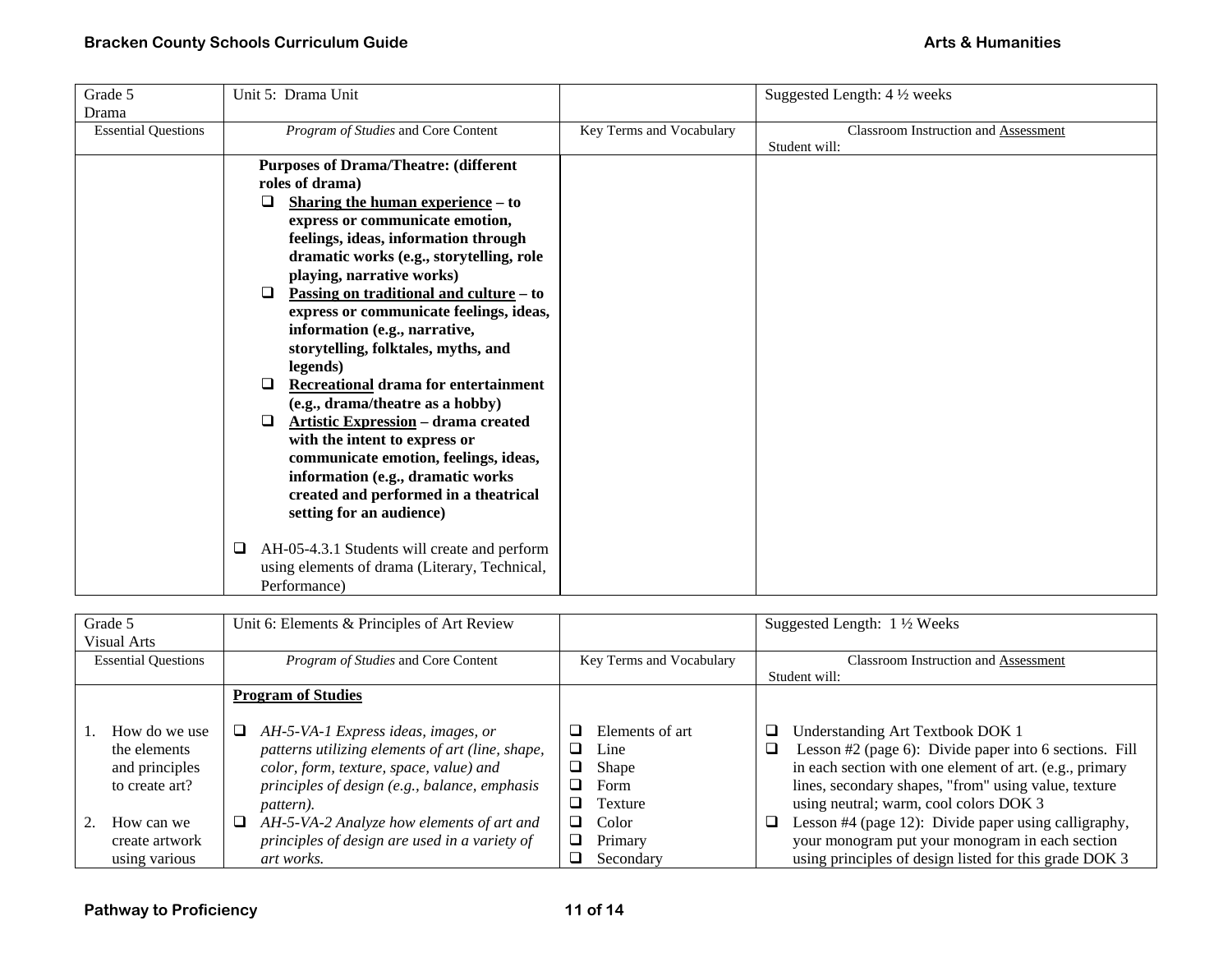| Grade 5                             | Unit 5: Drama Unit                                                                                                                                                                                                                                                                                                                                                                                                                                                                                                                                                                                                                                                                                                                                                                                                                                                                                             |                          | Suggested Length: 4 1/2 weeks                                |
|-------------------------------------|----------------------------------------------------------------------------------------------------------------------------------------------------------------------------------------------------------------------------------------------------------------------------------------------------------------------------------------------------------------------------------------------------------------------------------------------------------------------------------------------------------------------------------------------------------------------------------------------------------------------------------------------------------------------------------------------------------------------------------------------------------------------------------------------------------------------------------------------------------------------------------------------------------------|--------------------------|--------------------------------------------------------------|
| Drama<br><b>Essential Questions</b> | Program of Studies and Core Content                                                                                                                                                                                                                                                                                                                                                                                                                                                                                                                                                                                                                                                                                                                                                                                                                                                                            | Key Terms and Vocabulary | <b>Classroom Instruction and Assessment</b><br>Student will: |
|                                     | <b>Purposes of Drama/Theatre: (different</b><br>roles of drama)<br><b>Sharing the human experience – to</b><br>⊔.<br>express or communicate emotion,<br>feelings, ideas, information through<br>dramatic works (e.g., storytelling, role<br>playing, narrative works)<br><u>Passing on traditional and culture</u> – to<br>□<br>express or communicate feelings, ideas,<br>information (e.g., narrative,<br>storytelling, folktales, myths, and<br>legends)<br>Recreational drama for entertainment<br>ப<br>(e.g., drama/theatre as a hobby)<br><b>Artistic Expression - drama created</b><br>$\Box$<br>with the intent to express or<br>communicate emotion, feelings, ideas,<br>information (e.g., dramatic works<br>created and performed in a theatrical<br>setting for an audience)<br>AH-05-4.3.1 Students will create and perform<br>❏<br>using elements of drama (Literary, Technical,<br>Performance) |                          |                                                              |

| Grade 5<br><b>Visual Arts</b>                                     | Unit 6: Elements & Principles of Art Review                                                                                                                                                                |                                                          | Suggested Length: $1\frac{1}{2}$ Weeks                                                                                                                                                                                                                            |
|-------------------------------------------------------------------|------------------------------------------------------------------------------------------------------------------------------------------------------------------------------------------------------------|----------------------------------------------------------|-------------------------------------------------------------------------------------------------------------------------------------------------------------------------------------------------------------------------------------------------------------------|
| <b>Essential Questions</b>                                        | <i>Program of Studies</i> and Core Content                                                                                                                                                                 | Key Terms and Vocabulary                                 | <b>Classroom Instruction and Assessment</b><br>Student will:                                                                                                                                                                                                      |
|                                                                   | <b>Program of Studies</b>                                                                                                                                                                                  |                                                          |                                                                                                                                                                                                                                                                   |
| How do we use<br>the elements<br>and principles<br>to create art? | $\Box$<br>AH-5-VA-1 Express ideas, images, or<br>patterns utilizing elements of art (line, shape,<br>color, form, texture, space, value) and<br>principles of design (e.g., balance, emphasis<br>pattern). | Elements of art<br>Line<br>⊔<br>Shape<br>Form<br>Texture | ◻<br>Understanding Art Textbook DOK 1<br>Lesson #2 (page 6): Divide paper into 6 sections. Fill<br>❏<br>in each section with one element of art. (e.g., primary<br>lines, secondary shapes, "from" using value, texture<br>using neutral; warm, cool colors DOK 3 |
| How can we<br>create artwork<br>using various                     | AH-5-VA-2 Analyze how elements of art and<br>⊔<br>principles of design are used in a variety of<br>art works.                                                                                              | Color<br>⊔<br>Primary<br>Secondary                       | Lesson #4 (page 12): Divide paper using calligraphy,<br>❏<br>your monogram put your monogram in each section<br>using principles of design listed for this grade DOK 3                                                                                            |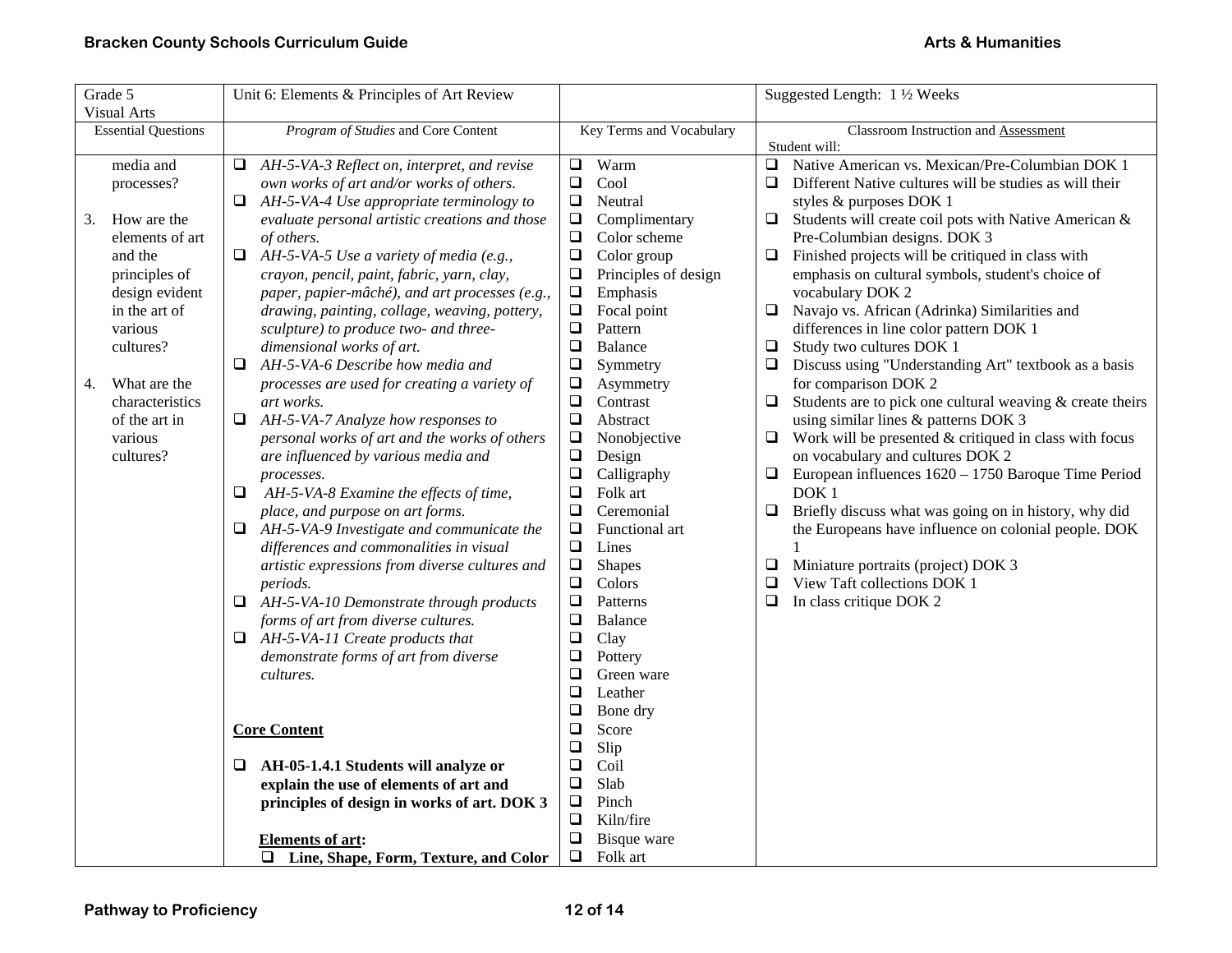| Grade 5                    | Unit 6: Elements & Principles of Art Review       |                                | Suggested Length: 1 1/2 Weeks                                          |
|----------------------------|---------------------------------------------------|--------------------------------|------------------------------------------------------------------------|
| <b>Visual Arts</b>         |                                                   |                                |                                                                        |
| <b>Essential Questions</b> | Program of Studies and Core Content               | Key Terms and Vocabulary       | Classroom Instruction and Assessment                                   |
| media and                  | AH-5-VA-3 Reflect on, interpret, and revise<br>⊔  | Warm<br>$\Box$                 | Student will:<br>Native American vs. Mexican/Pre-Columbian DOK 1<br>Q. |
| processes?                 | own works of art and/or works of others.          | $\Box$<br>Cool                 | $\Box$<br>Different Native cultures will be studies as will their      |
|                            | AH-5-VA-4 Use appropriate terminology to<br>□     | Neutral<br>$\Box$              | styles & purposes DOK 1                                                |
| How are the<br>3.          | evaluate personal artistic creations and those    | $\Box$<br>Complimentary        | Students will create coil pots with Native American &<br>❏             |
| elements of art            | of others.                                        | $\Box$<br>Color scheme         | Pre-Columbian designs. DOK 3                                           |
| and the                    | $\Box$<br>AH-5-VA-5 Use a variety of media (e.g., | $\Box$<br>Color group          | Finished projects will be critiqued in class with<br>$\Box$            |
| principles of              | crayon, pencil, paint, fabric, yarn, clay,        | $\Box$<br>Principles of design | emphasis on cultural symbols, student's choice of                      |
| design evident             | paper, papier-mâché), and art processes (e.g.,    | Emphasis<br>$\Box$             | vocabulary DOK 2                                                       |
| in the art of              | drawing, painting, collage, weaving, pottery,     | $\Box$<br>Focal point          | Navajo vs. African (Adrinka) Similarities and<br>$\Box$                |
| various                    | sculpture) to produce two- and three-             | $\Box$<br>Pattern              | differences in line color pattern DOK 1                                |
| cultures?                  | dimensional works of art.                         | $\Box$<br><b>Balance</b>       | Study two cultures DOK 1<br>$\Box$                                     |
|                            | AH-5-VA-6 Describe how media and<br>⊔             | $\Box$<br>Symmetry             | Discuss using "Understanding Art" textbook as a basis<br>⊔             |
| What are the<br>4.         | processes are used for creating a variety of      | $\Box$<br>Asymmetry            | for comparison DOK 2                                                   |
| characteristics            | art works.                                        | $\Box$<br>Contrast             | Students are to pick one cultural weaving & create theirs<br>$\Box$    |
| of the art in              | $\Box$ AH-5-VA-7 Analyze how responses to         | $\Box$<br>Abstract             | using similar lines & patterns DOK 3                                   |
| various                    | personal works of art and the works of others     | $\Box$<br>Nonobjective         | Work will be presented $&$ critiqued in class with focus<br>⊔          |
| cultures?                  | are influenced by various media and               | $\Box$<br>Design               | on vocabulary and cultures DOK 2                                       |
|                            | processes.                                        | $\Box$<br>Calligraphy          | $\Box$<br>European influences 1620 - 1750 Baroque Time Period          |
|                            | ❏<br>AH-5-VA-8 Examine the effects of time,       | $\Box$<br>Folk art             | DOK <sub>1</sub>                                                       |
|                            | place, and purpose on art forms.                  | Ceremonial<br>$\Box$           | $\Box$<br>Briefly discuss what was going on in history, why did        |
|                            | AH-5-VA-9 Investigate and communicate the<br>Q.   | $\Box$<br>Functional art       | the Europeans have influence on colonial people. DOK                   |
|                            | differences and commonalities in visual           | $\Box$<br>Lines                |                                                                        |
|                            | artistic expressions from diverse cultures and    | $\Box$<br><b>Shapes</b>        | Miniature portraits (project) DOK 3<br>⊔                               |
|                            | periods.                                          | $\Box$<br>Colors               | View Taft collections DOK 1<br>$\Box$                                  |
|                            | AH-5-VA-10 Demonstrate through products<br>⊔      | $\Box$<br>Patterns             | In class critique DOK 2<br>$\Box$                                      |
|                            | forms of art from diverse cultures.               | $\Box$<br>Balance              |                                                                        |
|                            | AH-5-VA-11 Create products that<br>⊔              | $\Box$<br>Clay                 |                                                                        |
|                            | demonstrate forms of art from diverse             | $\Box$<br>Pottery              |                                                                        |
|                            | cultures.                                         | $\Box$<br>Green ware           |                                                                        |
|                            |                                                   | $\Box$<br>Leather              |                                                                        |
|                            |                                                   | $\Box$<br>Bone dry             |                                                                        |
|                            | <b>Core Content</b>                               | $\Box$<br>Score                |                                                                        |
|                            |                                                   | $\Box$<br>Slip                 |                                                                        |
|                            | AH-05-1.4.1 Students will analyze or<br>❏         | $\Box$<br>Coil                 |                                                                        |
|                            | explain the use of elements of art and            | $\Box$<br>Slab                 |                                                                        |
|                            | principles of design in works of art. DOK 3       | $\Box$<br>Pinch                |                                                                        |
|                            |                                                   | ❏<br>Kiln/fire                 |                                                                        |
|                            | <b>Elements of art:</b>                           | $\Box$<br>Bisque ware          |                                                                        |
|                            | □ Line, Shape, Form, Texture, and Color           | $\Box$<br>Folk art             |                                                                        |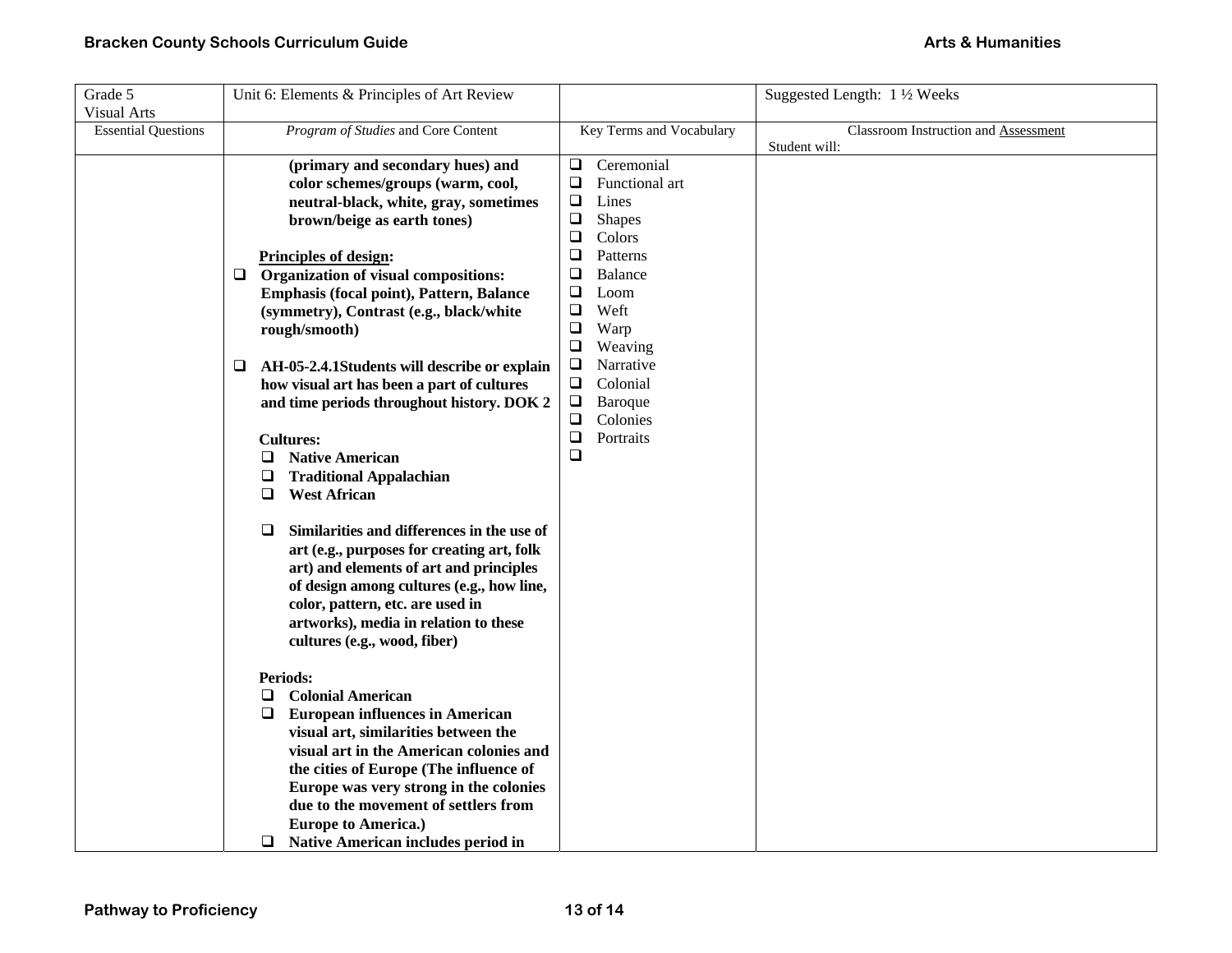| Grade 5<br><b>Visual Arts</b> | Unit 6: Elements & Principles of Art Review                                                                                                                                                                                                                                                                                                                                                                                                                                                                                                                                                                                                                                                                                                                                                                                                                                                                                                                                                                                                                                                                     |                                                                                                                                                                                                                                                                                                                                                            | Suggested Length: 1 1/2 Weeks        |
|-------------------------------|-----------------------------------------------------------------------------------------------------------------------------------------------------------------------------------------------------------------------------------------------------------------------------------------------------------------------------------------------------------------------------------------------------------------------------------------------------------------------------------------------------------------------------------------------------------------------------------------------------------------------------------------------------------------------------------------------------------------------------------------------------------------------------------------------------------------------------------------------------------------------------------------------------------------------------------------------------------------------------------------------------------------------------------------------------------------------------------------------------------------|------------------------------------------------------------------------------------------------------------------------------------------------------------------------------------------------------------------------------------------------------------------------------------------------------------------------------------------------------------|--------------------------------------|
| <b>Essential Questions</b>    | Program of Studies and Core Content                                                                                                                                                                                                                                                                                                                                                                                                                                                                                                                                                                                                                                                                                                                                                                                                                                                                                                                                                                                                                                                                             | Key Terms and Vocabulary                                                                                                                                                                                                                                                                                                                                   | Classroom Instruction and Assessment |
|                               | (primary and secondary hues) and<br>color schemes/groups (warm, cool,<br>neutral-black, white, gray, sometimes<br>brown/beige as earth tones)<br><b>Principles of design:</b><br>Organization of visual compositions:<br>❏<br>Emphasis (focal point), Pattern, Balance<br>(symmetry), Contrast (e.g., black/white<br>rough/smooth)<br>AH-05-2.4.1Students will describe or explain<br>⊔<br>how visual art has been a part of cultures<br>and time periods throughout history. DOK 2<br><b>Cultures:</b><br><b>Native American</b><br>❏<br>❏<br><b>Traditional Appalachian</b><br><b>West African</b><br>❏<br>Similarities and differences in the use of<br>❏<br>art (e.g., purposes for creating art, folk<br>art) and elements of art and principles<br>of design among cultures (e.g., how line,<br>color, pattern, etc. are used in<br>artworks), media in relation to these<br>cultures (e.g., wood, fiber)<br><b>Periods:</b><br>$\Box$<br><b>Colonial American</b><br>$\Box$<br><b>European influences in American</b><br>visual art, similarities between the<br>visual art in the American colonies and | Ceremonial<br>$\Box$<br>$\Box$<br>Functional art<br>$\Box$<br>Lines<br>$\Box$<br>Shapes<br>Colors<br>❏<br>$\Box$<br>Patterns<br>❏<br><b>Balance</b><br>$\Box$<br>Loom<br>Weft<br>$\Box$<br>$\Box$<br>Warp<br>$\Box$<br>Weaving<br>$\Box$<br>Narrative<br>$\Box$<br>Colonial<br>$\square$<br>Baroque<br>$\Box$<br>Colonies<br>$\Box$<br>Portraits<br>$\Box$ | Student will:                        |
|                               | the cities of Europe (The influence of<br>Europe was very strong in the colonies<br>due to the movement of settlers from<br><b>Europe to America.)</b><br>Native American includes period in<br>Q.                                                                                                                                                                                                                                                                                                                                                                                                                                                                                                                                                                                                                                                                                                                                                                                                                                                                                                              |                                                                                                                                                                                                                                                                                                                                                            |                                      |